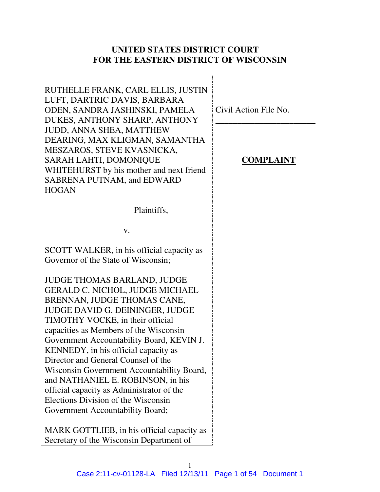## **UNITED STATES DISTRICT COURT FOR THE EASTERN DISTRICT OF WISCONSIN**

RUTHELLE FRANK, CARL ELLIS, JUSTIN LUFT, DARTRIC DAVIS, BARBARA ODEN, SANDRA JASHINSKI, PAMELA DUKES, ANTHONY SHARP, ANTHONY JUDD, ANNA SHEA, MATTHEW DEARING, MAX KLIGMAN, SAMANTHA MESZAROS, STEVE KVASNICKA, SARAH LAHTI, DOMONIQUE WHITEHURST by his mother and next friend SABRENA PUTNAM, and EDWARD **HOGAN** 

Plaintiffs,

v.

SCOTT WALKER, in his official capacity as Governor of the State of Wisconsin;

JUDGE THOMAS BARLAND, JUDGE GERALD C. NICHOL, JUDGE MICHAEL BRENNAN, JUDGE THOMAS CANE, JUDGE DAVID G. DEININGER, JUDGE TIMOTHY VOCKE, in their official capacities as Members of the Wisconsin Government Accountability Board, KEVIN J. KENNEDY, in his official capacity as Director and General Counsel of the Wisconsin Government Accountability Board, and NATHANIEL E. ROBINSON, in his official capacity as Administrator of the Elections Division of the Wisconsin Government Accountability Board;

MARK GOTTLIEB, in his official capacity as Secretary of the Wisconsin Department of

Civil Action File No.

## **COMPLAINT**

\_\_\_\_\_\_\_\_\_\_\_\_\_\_\_\_\_\_\_\_\_\_\_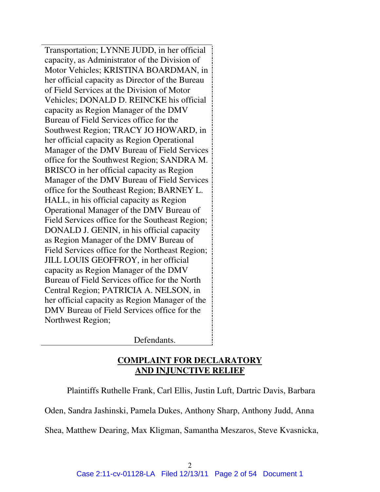Transportation; LYNNE JUDD, in her official capacity, as Administrator of the Division of Motor Vehicles; KRISTINA BOARDMAN, in her official capacity as Director of the Bureau of Field Services at the Division of Motor Vehicles; DONALD D. REINCKE his official capacity as Region Manager of the DMV Bureau of Field Services office for the Southwest Region; TRACY JO HOWARD, in her official capacity as Region Operational Manager of the DMV Bureau of Field Services office for the Southwest Region; SANDRA M. BRISCO in her official capacity as Region Manager of the DMV Bureau of Field Services office for the Southeast Region; BARNEY L. HALL, in his official capacity as Region Operational Manager of the DMV Bureau of Field Services office for the Southeast Region; DONALD J. GENIN, in his official capacity as Region Manager of the DMV Bureau of Field Services office for the Northeast Region; JILL LOUIS GEOFFROY, in her official capacity as Region Manager of the DMV Bureau of Field Services office for the North Central Region; PATRICIA A. NELSON, in her official capacity as Region Manager of the DMV Bureau of Field Services office for the Northwest Region;

Defendants.

## **COMPLAINT FOR DECLARATORY AND INJUNCTIVE RELIEF**

Plaintiffs Ruthelle Frank, Carl Ellis, Justin Luft, Dartric Davis, Barbara

Oden, Sandra Jashinski, Pamela Dukes, Anthony Sharp, Anthony Judd, Anna

Shea, Matthew Dearing, Max Kligman, Samantha Meszaros, Steve Kvasnicka,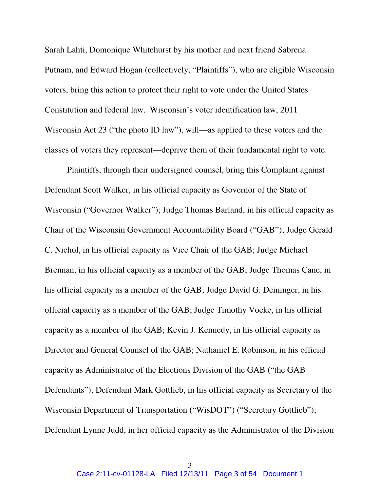Sarah Lahti, Domonique Whitehurst by his mother and next friend Sabrena Putnam, and Edward Hogan (collectively, "Plaintiffs"), who are eligible Wisconsin voters, bring this action to protect their right to vote under the United States Constitution and federal law. Wisconsin's voter identification law, 2011 Wisconsin Act 23 ("the photo ID law"), will—as applied to these voters and the classes of voters they represent—deprive them of their fundamental right to vote.

Plaintiffs, through their undersigned counsel, bring this Complaint against Defendant Scott Walker, in his official capacity as Governor of the State of Wisconsin ("Governor Walker"); Judge Thomas Barland, in his official capacity as Chair of the Wisconsin Government Accountability Board ("GAB"); Judge Gerald C. Nichol, in his official capacity as Vice Chair of the GAB; Judge Michael Brennan, in his official capacity as a member of the GAB; Judge Thomas Cane, in his official capacity as a member of the GAB; Judge David G. Deininger, in his official capacity as a member of the GAB; Judge Timothy Vocke, in his official capacity as a member of the GAB; Kevin J. Kennedy, in his official capacity as Director and General Counsel of the GAB; Nathaniel E. Robinson, in his official capacity as Administrator of the Elections Division of the GAB ("the GAB Defendants"); Defendant Mark Gottlieb, in his official capacity as Secretary of the Wisconsin Department of Transportation ("WisDOT") ("Secretary Gottlieb"); Defendant Lynne Judd, in her official capacity as the Administrator of the Division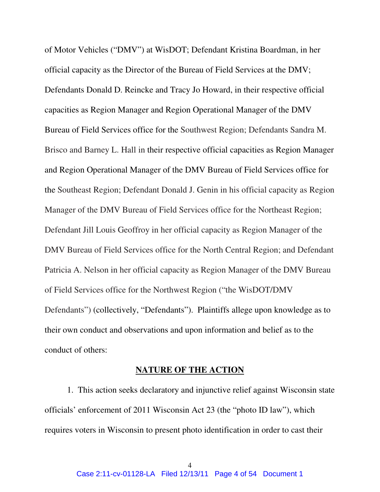of Motor Vehicles ("DMV") at WisDOT; Defendant Kristina Boardman, in her official capacity as the Director of the Bureau of Field Services at the DMV; Defendants Donald D. Reincke and Tracy Jo Howard, in their respective official capacities as Region Manager and Region Operational Manager of the DMV Bureau of Field Services office for the Southwest Region; Defendants Sandra M. Brisco and Barney L. Hall in their respective official capacities as Region Manager and Region Operational Manager of the DMV Bureau of Field Services office for the Southeast Region; Defendant Donald J. Genin in his official capacity as Region Manager of the DMV Bureau of Field Services office for the Northeast Region; Defendant Jill Louis Geoffroy in her official capacity as Region Manager of the DMV Bureau of Field Services office for the North Central Region; and Defendant Patricia A. Nelson in her official capacity as Region Manager of the DMV Bureau of Field Services office for the Northwest Region ("the WisDOT/DMV Defendants") (collectively, "Defendants"). Plaintiffs allege upon knowledge as to their own conduct and observations and upon information and belief as to the conduct of others:

#### **NATURE OF THE ACTION**

1. This action seeks declaratory and injunctive relief against Wisconsin state officials' enforcement of 2011 Wisconsin Act 23 (the "photo ID law"), which requires voters in Wisconsin to present photo identification in order to cast their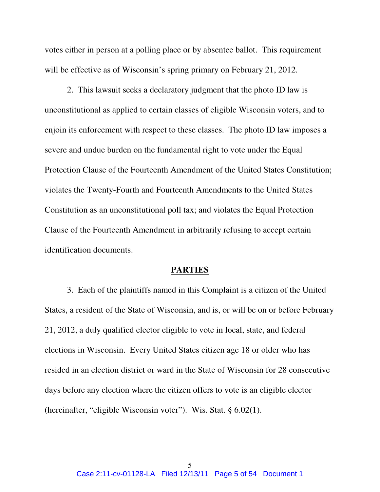votes either in person at a polling place or by absentee ballot. This requirement will be effective as of Wisconsin's spring primary on February 21, 2012.

2. This lawsuit seeks a declaratory judgment that the photo ID law is unconstitutional as applied to certain classes of eligible Wisconsin voters, and to enjoin its enforcement with respect to these classes. The photo ID law imposes a severe and undue burden on the fundamental right to vote under the Equal Protection Clause of the Fourteenth Amendment of the United States Constitution; violates the Twenty-Fourth and Fourteenth Amendments to the United States Constitution as an unconstitutional poll tax; and violates the Equal Protection Clause of the Fourteenth Amendment in arbitrarily refusing to accept certain identification documents.

#### **PARTIES**

3. Each of the plaintiffs named in this Complaint is a citizen of the United States, a resident of the State of Wisconsin, and is, or will be on or before February 21, 2012, a duly qualified elector eligible to vote in local, state, and federal elections in Wisconsin. Every United States citizen age 18 or older who has resided in an election district or ward in the State of Wisconsin for 28 consecutive days before any election where the citizen offers to vote is an eligible elector (hereinafter, "eligible Wisconsin voter"). Wis. Stat. § 6.02(1).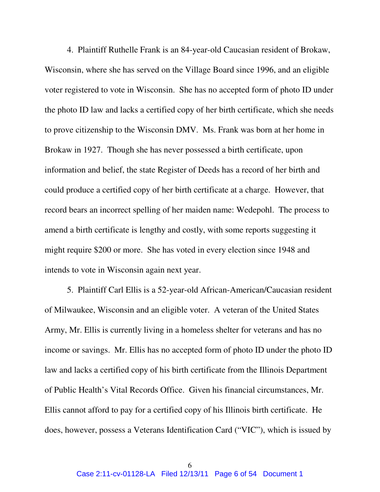4. Plaintiff Ruthelle Frank is an 84-year-old Caucasian resident of Brokaw, Wisconsin, where she has served on the Village Board since 1996, and an eligible voter registered to vote in Wisconsin. She has no accepted form of photo ID under the photo ID law and lacks a certified copy of her birth certificate, which she needs to prove citizenship to the Wisconsin DMV. Ms. Frank was born at her home in Brokaw in 1927. Though she has never possessed a birth certificate, upon information and belief, the state Register of Deeds has a record of her birth and could produce a certified copy of her birth certificate at a charge. However, that record bears an incorrect spelling of her maiden name: Wedepohl. The process to amend a birth certificate is lengthy and costly, with some reports suggesting it might require \$200 or more. She has voted in every election since 1948 and intends to vote in Wisconsin again next year.

5. Plaintiff Carl Ellis is a 52-year-old African-American/Caucasian resident of Milwaukee, Wisconsin and an eligible voter. A veteran of the United States Army, Mr. Ellis is currently living in a homeless shelter for veterans and has no income or savings. Mr. Ellis has no accepted form of photo ID under the photo ID law and lacks a certified copy of his birth certificate from the Illinois Department of Public Health's Vital Records Office. Given his financial circumstances, Mr. Ellis cannot afford to pay for a certified copy of his Illinois birth certificate. He does, however, possess a Veterans Identification Card ("VIC"), which is issued by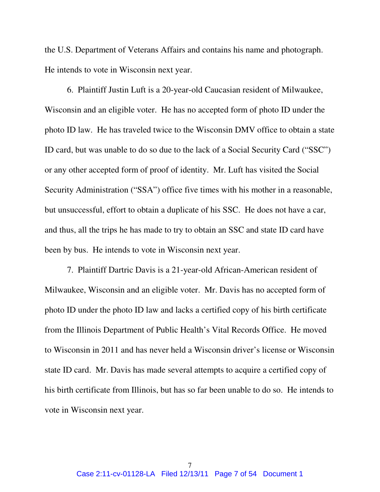the U.S. Department of Veterans Affairs and contains his name and photograph. He intends to vote in Wisconsin next year.

6. Plaintiff Justin Luft is a 20-year-old Caucasian resident of Milwaukee, Wisconsin and an eligible voter. He has no accepted form of photo ID under the photo ID law. He has traveled twice to the Wisconsin DMV office to obtain a state ID card, but was unable to do so due to the lack of a Social Security Card ("SSC") or any other accepted form of proof of identity. Mr. Luft has visited the Social Security Administration ("SSA") office five times with his mother in a reasonable, but unsuccessful, effort to obtain a duplicate of his SSC. He does not have a car, and thus, all the trips he has made to try to obtain an SSC and state ID card have been by bus. He intends to vote in Wisconsin next year.

7. Plaintiff Dartric Davis is a 21-year-old African-American resident of Milwaukee, Wisconsin and an eligible voter. Mr. Davis has no accepted form of photo ID under the photo ID law and lacks a certified copy of his birth certificate from the Illinois Department of Public Health's Vital Records Office. He moved to Wisconsin in 2011 and has never held a Wisconsin driver's license or Wisconsin state ID card. Mr. Davis has made several attempts to acquire a certified copy of his birth certificate from Illinois, but has so far been unable to do so. He intends to vote in Wisconsin next year.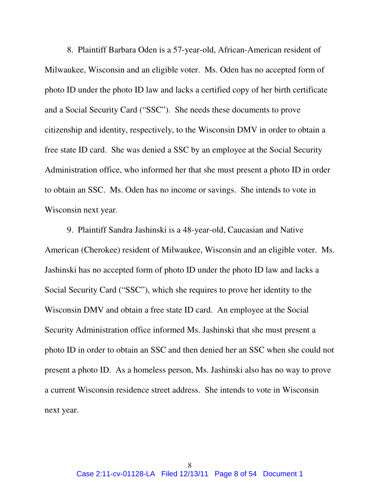8. Plaintiff Barbara Oden is a 57-year-old, African-American resident of Milwaukee, Wisconsin and an eligible voter. Ms. Oden has no accepted form of photo ID under the photo ID law and lacks a certified copy of her birth certificate and a Social Security Card ("SSC"). She needs these documents to prove citizenship and identity, respectively, to the Wisconsin DMV in order to obtain a free state ID card. She was denied a SSC by an employee at the Social Security Administration office, who informed her that she must present a photo ID in order to obtain an SSC. Ms. Oden has no income or savings. She intends to vote in Wisconsin next year.

9. Plaintiff Sandra Jashinski is a 48-year-old, Caucasian and Native American (Cherokee) resident of Milwaukee, Wisconsin and an eligible voter. Ms. Jashinski has no accepted form of photo ID under the photo ID law and lacks a Social Security Card ("SSC"), which she requires to prove her identity to the Wisconsin DMV and obtain a free state ID card. An employee at the Social Security Administration office informed Ms. Jashinski that she must present a photo ID in order to obtain an SSC and then denied her an SSC when she could not present a photo ID. As a homeless person, Ms. Jashinski also has no way to prove a current Wisconsin residence street address. She intends to vote in Wisconsin next year.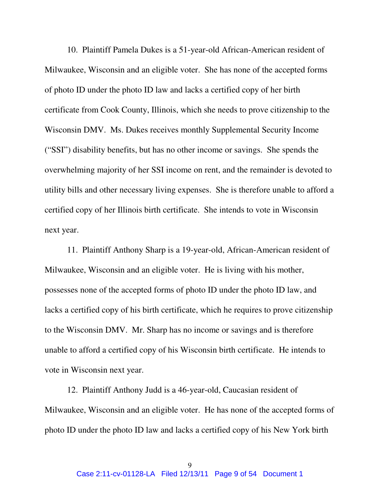10. Plaintiff Pamela Dukes is a 51-year-old African-American resident of Milwaukee, Wisconsin and an eligible voter. She has none of the accepted forms of photo ID under the photo ID law and lacks a certified copy of her birth certificate from Cook County, Illinois, which she needs to prove citizenship to the Wisconsin DMV. Ms. Dukes receives monthly Supplemental Security Income ("SSI") disability benefits, but has no other income or savings. She spends the overwhelming majority of her SSI income on rent, and the remainder is devoted to utility bills and other necessary living expenses. She is therefore unable to afford a certified copy of her Illinois birth certificate. She intends to vote in Wisconsin next year.

11. Plaintiff Anthony Sharp is a 19-year-old, African-American resident of Milwaukee, Wisconsin and an eligible voter. He is living with his mother, possesses none of the accepted forms of photo ID under the photo ID law, and lacks a certified copy of his birth certificate, which he requires to prove citizenship to the Wisconsin DMV. Mr. Sharp has no income or savings and is therefore unable to afford a certified copy of his Wisconsin birth certificate. He intends to vote in Wisconsin next year.

12. Plaintiff Anthony Judd is a 46-year-old, Caucasian resident of Milwaukee, Wisconsin and an eligible voter. He has none of the accepted forms of photo ID under the photo ID law and lacks a certified copy of his New York birth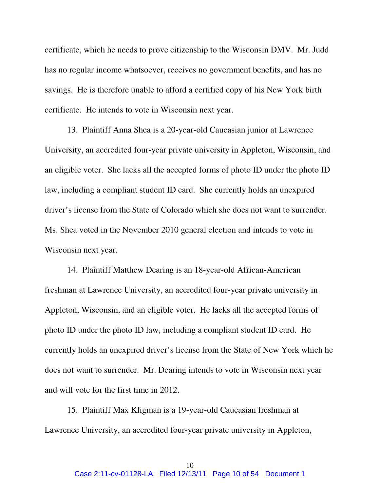certificate, which he needs to prove citizenship to the Wisconsin DMV. Mr. Judd has no regular income whatsoever, receives no government benefits, and has no savings. He is therefore unable to afford a certified copy of his New York birth certificate. He intends to vote in Wisconsin next year.

13. Plaintiff Anna Shea is a 20-year-old Caucasian junior at Lawrence University, an accredited four-year private university in Appleton, Wisconsin, and an eligible voter. She lacks all the accepted forms of photo ID under the photo ID law, including a compliant student ID card. She currently holds an unexpired driver's license from the State of Colorado which she does not want to surrender. Ms. Shea voted in the November 2010 general election and intends to vote in Wisconsin next year.

14. Plaintiff Matthew Dearing is an 18-year-old African-American freshman at Lawrence University, an accredited four-year private university in Appleton, Wisconsin, and an eligible voter. He lacks all the accepted forms of photo ID under the photo ID law, including a compliant student ID card. He currently holds an unexpired driver's license from the State of New York which he does not want to surrender. Mr. Dearing intends to vote in Wisconsin next year and will vote for the first time in 2012.

15. Plaintiff Max Kligman is a 19-year-old Caucasian freshman at Lawrence University, an accredited four-year private university in Appleton,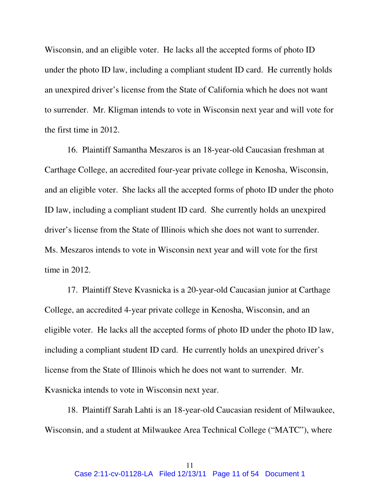Wisconsin, and an eligible voter. He lacks all the accepted forms of photo ID under the photo ID law, including a compliant student ID card. He currently holds an unexpired driver's license from the State of California which he does not want to surrender. Mr. Kligman intends to vote in Wisconsin next year and will vote for the first time in 2012.

16. Plaintiff Samantha Meszaros is an 18-year-old Caucasian freshman at Carthage College, an accredited four-year private college in Kenosha, Wisconsin, and an eligible voter. She lacks all the accepted forms of photo ID under the photo ID law, including a compliant student ID card. She currently holds an unexpired driver's license from the State of Illinois which she does not want to surrender. Ms. Meszaros intends to vote in Wisconsin next year and will vote for the first time in 2012.

17. Plaintiff Steve Kvasnicka is a 20-year-old Caucasian junior at Carthage College, an accredited 4-year private college in Kenosha, Wisconsin, and an eligible voter. He lacks all the accepted forms of photo ID under the photo ID law, including a compliant student ID card. He currently holds an unexpired driver's license from the State of Illinois which he does not want to surrender. Mr. Kvasnicka intends to vote in Wisconsin next year.

18. Plaintiff Sarah Lahti is an 18-year-old Caucasian resident of Milwaukee, Wisconsin, and a student at Milwaukee Area Technical College ("MATC"), where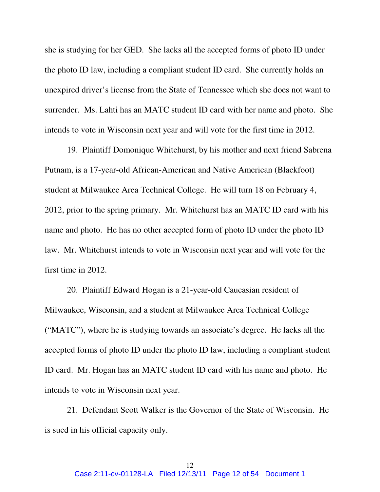she is studying for her GED. She lacks all the accepted forms of photo ID under the photo ID law, including a compliant student ID card. She currently holds an unexpired driver's license from the State of Tennessee which she does not want to surrender. Ms. Lahti has an MATC student ID card with her name and photo. She intends to vote in Wisconsin next year and will vote for the first time in 2012.

19. Plaintiff Domonique Whitehurst, by his mother and next friend Sabrena Putnam, is a 17-year-old African-American and Native American (Blackfoot) student at Milwaukee Area Technical College. He will turn 18 on February 4, 2012, prior to the spring primary. Mr. Whitehurst has an MATC ID card with his name and photo. He has no other accepted form of photo ID under the photo ID law. Mr. Whitehurst intends to vote in Wisconsin next year and will vote for the first time in 2012.

20. Plaintiff Edward Hogan is a 21-year-old Caucasian resident of Milwaukee, Wisconsin, and a student at Milwaukee Area Technical College ("MATC"), where he is studying towards an associate's degree. He lacks all the accepted forms of photo ID under the photo ID law, including a compliant student ID card. Mr. Hogan has an MATC student ID card with his name and photo. He intends to vote in Wisconsin next year.

21. Defendant Scott Walker is the Governor of the State of Wisconsin. He is sued in his official capacity only.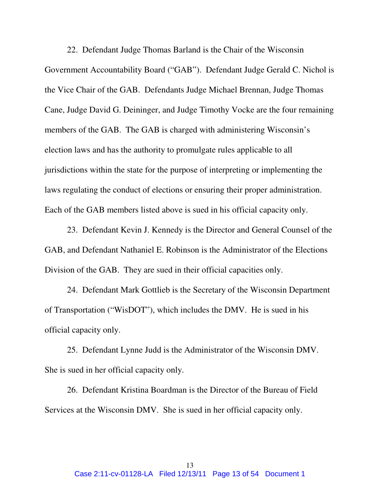22. Defendant Judge Thomas Barland is the Chair of the Wisconsin Government Accountability Board ("GAB"). Defendant Judge Gerald C. Nichol is the Vice Chair of the GAB. Defendants Judge Michael Brennan, Judge Thomas Cane, Judge David G. Deininger, and Judge Timothy Vocke are the four remaining members of the GAB. The GAB is charged with administering Wisconsin's election laws and has the authority to promulgate rules applicable to all jurisdictions within the state for the purpose of interpreting or implementing the laws regulating the conduct of elections or ensuring their proper administration. Each of the GAB members listed above is sued in his official capacity only.

23. Defendant Kevin J. Kennedy is the Director and General Counsel of the GAB, and Defendant Nathaniel E. Robinson is the Administrator of the Elections Division of the GAB. They are sued in their official capacities only.

24. Defendant Mark Gottlieb is the Secretary of the Wisconsin Department of Transportation ("WisDOT"), which includes the DMV. He is sued in his official capacity only.

25. Defendant Lynne Judd is the Administrator of the Wisconsin DMV. She is sued in her official capacity only.

26. Defendant Kristina Boardman is the Director of the Bureau of Field Services at the Wisconsin DMV. She is sued in her official capacity only.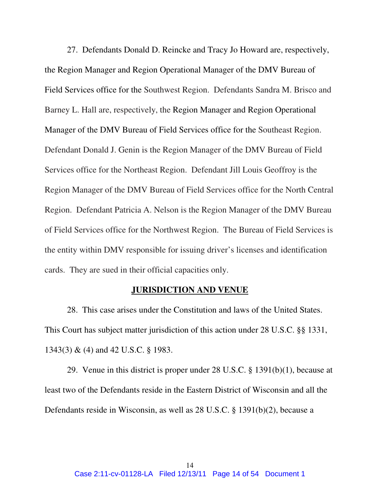27. Defendants Donald D. Reincke and Tracy Jo Howard are, respectively, the Region Manager and Region Operational Manager of the DMV Bureau of Field Services office for the Southwest Region. Defendants Sandra M. Brisco and Barney L. Hall are, respectively, the Region Manager and Region Operational Manager of the DMV Bureau of Field Services office for the Southeast Region. Defendant Donald J. Genin is the Region Manager of the DMV Bureau of Field Services office for the Northeast Region. Defendant Jill Louis Geoffroy is the Region Manager of the DMV Bureau of Field Services office for the North Central Region. Defendant Patricia A. Nelson is the Region Manager of the DMV Bureau of Field Services office for the Northwest Region. The Bureau of Field Services is the entity within DMV responsible for issuing driver's licenses and identification cards. They are sued in their official capacities only.

### **JURISDICTION AND VENUE**

28. This case arises under the Constitution and laws of the United States. This Court has subject matter jurisdiction of this action under 28 U.S.C. §§ 1331, 1343(3) & (4) and 42 U.S.C. § 1983.

29. Venue in this district is proper under 28 U.S.C. § 1391(b)(1), because at least two of the Defendants reside in the Eastern District of Wisconsin and all the Defendants reside in Wisconsin, as well as 28 U.S.C. § 1391(b)(2), because a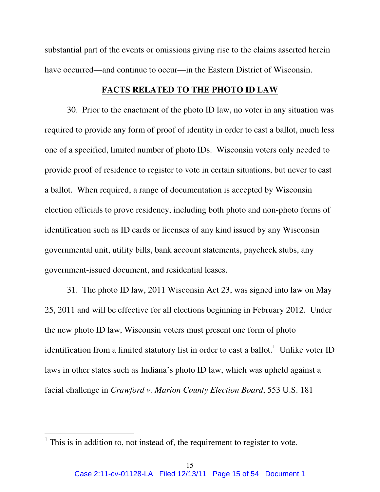substantial part of the events or omissions giving rise to the claims asserted herein have occurred—and continue to occur—in the Eastern District of Wisconsin.

### **FACTS RELATED TO THE PHOTO ID LAW**

 30. Prior to the enactment of the photo ID law, no voter in any situation was required to provide any form of proof of identity in order to cast a ballot, much less one of a specified, limited number of photo IDs. Wisconsin voters only needed to provide proof of residence to register to vote in certain situations, but never to cast a ballot. When required, a range of documentation is accepted by Wisconsin election officials to prove residency, including both photo and non-photo forms of identification such as ID cards or licenses of any kind issued by any Wisconsin governmental unit, utility bills, bank account statements, paycheck stubs, any government-issued document, and residential leases.

31. The photo ID law, 2011 Wisconsin Act 23, was signed into law on May 25, 2011 and will be effective for all elections beginning in February 2012. Under the new photo ID law, Wisconsin voters must present one form of photo identification from a limited statutory list in order to cast a ballot.<sup>1</sup> Unlike voter ID laws in other states such as Indiana's photo ID law, which was upheld against a facial challenge in *Crawford v. Marion County Election Board*, 553 U.S. 181

 $<sup>1</sup>$  This is in addition to, not instead of, the requirement to register to vote.</sup>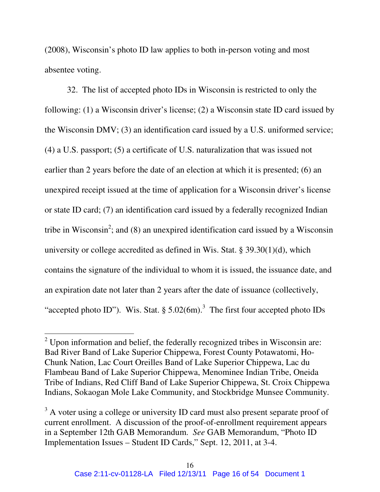(2008), Wisconsin's photo ID law applies to both in-person voting and most absentee voting.

32. The list of accepted photo IDs in Wisconsin is restricted to only the following: (1) a Wisconsin driver's license; (2) a Wisconsin state ID card issued by the Wisconsin DMV; (3) an identification card issued by a U.S. uniformed service; (4) a U.S. passport; (5) a certificate of U.S. naturalization that was issued not earlier than 2 years before the date of an election at which it is presented; (6) an unexpired receipt issued at the time of application for a Wisconsin driver's license or state ID card; (7) an identification card issued by a federally recognized Indian tribe in Wisconsin<sup>2</sup>; and (8) an unexpired identification card issued by a Wisconsin university or college accredited as defined in Wis. Stat. § 39.30(1)(d), which contains the signature of the individual to whom it is issued, the issuance date, and an expiration date not later than 2 years after the date of issuance (collectively, "accepted photo ID"). Wis. Stat.  $\S 5.02(6m)$ .<sup>3</sup> The first four accepted photo IDs

 $2$  Upon information and belief, the federally recognized tribes in Wisconsin are: Bad River Band of Lake Superior Chippewa, Forest County Potawatomi, Ho-Chunk Nation, Lac Court Oreilles Band of Lake Superior Chippewa, Lac du Flambeau Band of Lake Superior Chippewa, Menominee Indian Tribe, Oneida Tribe of Indians, Red Cliff Band of Lake Superior Chippewa, St. Croix Chippewa Indians, Sokaogan Mole Lake Community, and Stockbridge Munsee Community.

<sup>&</sup>lt;sup>3</sup> A voter using a college or university ID card must also present separate proof of current enrollment. A discussion of the proof-of-enrollment requirement appears in a September 12th GAB Memorandum. *See* GAB Memorandum, "Photo ID Implementation Issues – Student ID Cards," Sept. 12, 2011, at 3-4.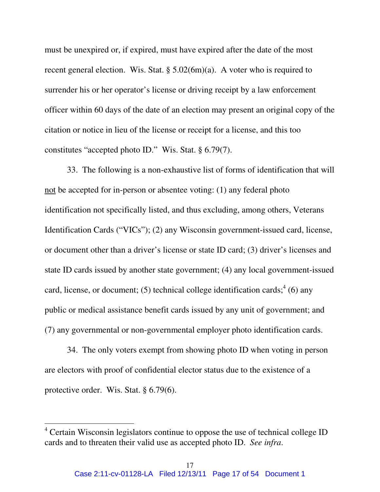must be unexpired or, if expired, must have expired after the date of the most recent general election. Wis. Stat. § 5.02(6m)(a). A voter who is required to surrender his or her operator's license or driving receipt by a law enforcement officer within 60 days of the date of an election may present an original copy of the citation or notice in lieu of the license or receipt for a license, and this too constitutes "accepted photo ID." Wis. Stat. § 6.79(7).

 33. The following is a non-exhaustive list of forms of identification that will not be accepted for in-person or absentee voting: (1) any federal photo identification not specifically listed, and thus excluding, among others, Veterans Identification Cards ("VICs"); (2) any Wisconsin government-issued card, license, or document other than a driver's license or state ID card; (3) driver's licenses and state ID cards issued by another state government; (4) any local government-issued card, license, or document; (5) technical college identification cards;<sup>4</sup> (6) any public or medical assistance benefit cards issued by any unit of government; and (7) any governmental or non-governmental employer photo identification cards.

34. The only voters exempt from showing photo ID when voting in person are electors with proof of confidential elector status due to the existence of a protective order. Wis. Stat. § 6.79(6).

<sup>&</sup>lt;sup>4</sup> Certain Wisconsin legislators continue to oppose the use of technical college ID cards and to threaten their valid use as accepted photo ID. *See infra*.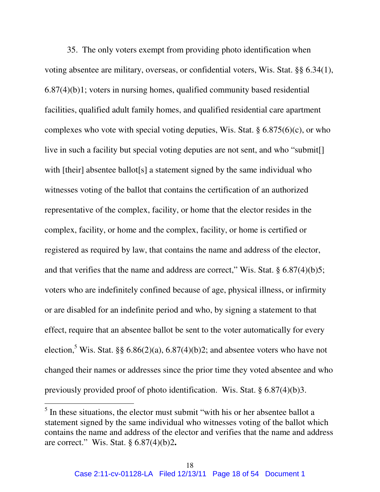35. The only voters exempt from providing photo identification when voting absentee are military, overseas, or confidential voters, Wis. Stat. §§ 6.34(1), 6.87(4)(b)1; voters in nursing homes, qualified community based residential facilities, qualified adult family homes, and qualified residential care apartment complexes who vote with special voting deputies, Wis. Stat.  $\S 6.875(6)(c)$ , or who live in such a facility but special voting deputies are not sent, and who "submit[] with [their] absentee ballot[s] a statement signed by the same individual who witnesses voting of the ballot that contains the certification of an authorized representative of the complex, facility, or home that the elector resides in the complex, facility, or home and the complex, facility, or home is certified or registered as required by law, that contains the name and address of the elector, and that verifies that the name and address are correct," Wis. Stat. § 6.87(4)(b)5; voters who are indefinitely confined because of age, physical illness, or infirmity or are disabled for an indefinite period and who, by signing a statement to that effect, require that an absentee ballot be sent to the voter automatically for every election,<sup>5</sup> Wis. Stat. §§ 6.86(2)(a), 6.87(4)(b)2; and absentee voters who have not changed their names or addresses since the prior time they voted absentee and who previously provided proof of photo identification. Wis. Stat. § 6.87(4)(b)3.

 $<sup>5</sup>$  In these situations, the elector must submit "with his or her absentee ballot a</sup> statement signed by the same individual who witnesses voting of the ballot which contains the name and address of the elector and verifies that the name and address are correct." Wis. Stat. § 6.87(4)(b)2**.**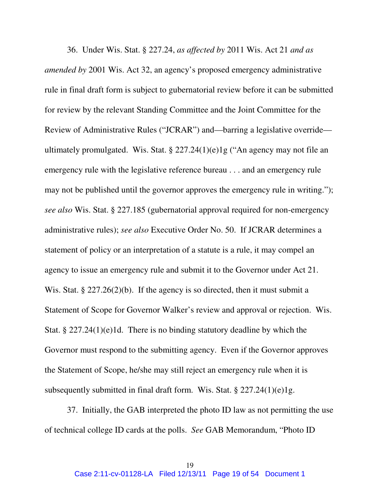36. Under Wis. Stat. § 227.24, *as affected by* 2011 Wis. Act 21 *and as amended by* 2001 Wis. Act 32, an agency's proposed emergency administrative rule in final draft form is subject to gubernatorial review before it can be submitted for review by the relevant Standing Committee and the Joint Committee for the Review of Administrative Rules ("JCRAR") and—barring a legislative override ultimately promulgated. Wis. Stat.  $\S 227.24(1)(e)1g$  ("An agency may not file an emergency rule with the legislative reference bureau . . . and an emergency rule may not be published until the governor approves the emergency rule in writing."); *see also* Wis. Stat. § 227.185 (gubernatorial approval required for non-emergency administrative rules); *see also* Executive Order No. 50. If JCRAR determines a statement of policy or an interpretation of a statute is a rule, it may compel an agency to issue an emergency rule and submit it to the Governor under Act 21. Wis. Stat. § 227.26(2)(b). If the agency is so directed, then it must submit a Statement of Scope for Governor Walker's review and approval or rejection. Wis. Stat. § 227.24(1)(e)1d. There is no binding statutory deadline by which the Governor must respond to the submitting agency. Even if the Governor approves the Statement of Scope, he/she may still reject an emergency rule when it is subsequently submitted in final draft form. Wis. Stat. § 227.24(1)(e)1g.

37. Initially, the GAB interpreted the photo ID law as not permitting the use of technical college ID cards at the polls. *See* GAB Memorandum, "Photo ID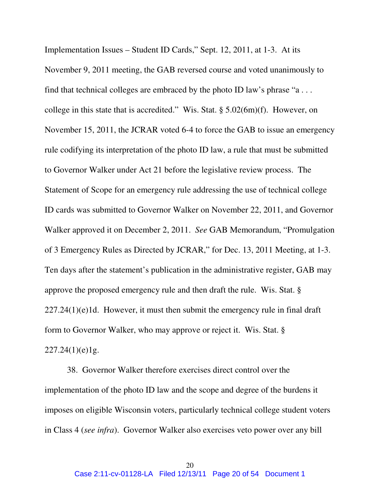Implementation Issues – Student ID Cards," Sept. 12, 2011, at 1-3. At its November 9, 2011 meeting, the GAB reversed course and voted unanimously to find that technical colleges are embraced by the photo ID law's phrase "a... college in this state that is accredited." Wis. Stat. § 5.02(6m)(f). However, on November 15, 2011, the JCRAR voted 6-4 to force the GAB to issue an emergency rule codifying its interpretation of the photo ID law, a rule that must be submitted to Governor Walker under Act 21 before the legislative review process. The Statement of Scope for an emergency rule addressing the use of technical college ID cards was submitted to Governor Walker on November 22, 2011, and Governor Walker approved it on December 2, 2011. *See* GAB Memorandum, "Promulgation of 3 Emergency Rules as Directed by JCRAR," for Dec. 13, 2011 Meeting, at 1-3. Ten days after the statement's publication in the administrative register, GAB may approve the proposed emergency rule and then draft the rule. Wis. Stat. §  $227.24(1)(e)1d$ . However, it must then submit the emergency rule in final draft form to Governor Walker, who may approve or reject it. Wis. Stat. §  $227.24(1)(e)1g.$ 

38. Governor Walker therefore exercises direct control over the implementation of the photo ID law and the scope and degree of the burdens it imposes on eligible Wisconsin voters, particularly technical college student voters in Class 4 (*see infra*). Governor Walker also exercises veto power over any bill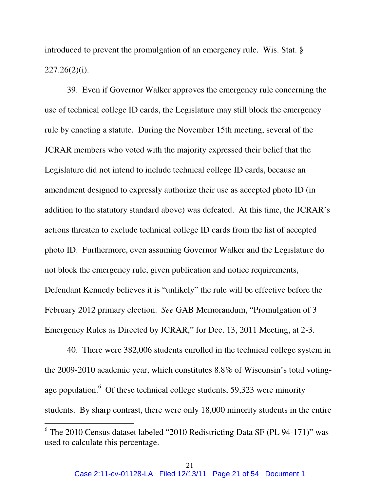introduced to prevent the promulgation of an emergency rule. Wis. Stat. §  $227.26(2)(i)$ .

39. Even if Governor Walker approves the emergency rule concerning the use of technical college ID cards, the Legislature may still block the emergency rule by enacting a statute. During the November 15th meeting, several of the JCRAR members who voted with the majority expressed their belief that the Legislature did not intend to include technical college ID cards, because an amendment designed to expressly authorize their use as accepted photo ID (in addition to the statutory standard above) was defeated. At this time, the JCRAR's actions threaten to exclude technical college ID cards from the list of accepted photo ID. Furthermore, even assuming Governor Walker and the Legislature do not block the emergency rule, given publication and notice requirements, Defendant Kennedy believes it is "unlikely" the rule will be effective before the February 2012 primary election. *See* GAB Memorandum, "Promulgation of 3 Emergency Rules as Directed by JCRAR," for Dec. 13, 2011 Meeting, at 2-3.

 40. There were 382,006 students enrolled in the technical college system in the 2009-2010 academic year, which constitutes 8.8% of Wisconsin's total votingage population. $6$  Of these technical college students, 59,323 were minority students. By sharp contrast, there were only 18,000 minority students in the entire

<sup>&</sup>lt;sup>6</sup> The 2010 Census dataset labeled "2010 Redistricting Data SF (PL 94-171)" was used to calculate this percentage.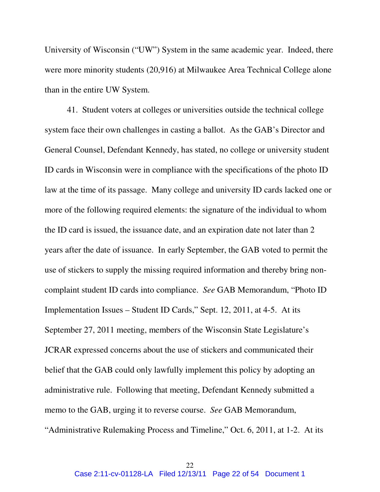University of Wisconsin ("UW") System in the same academic year. Indeed, there were more minority students (20,916) at Milwaukee Area Technical College alone than in the entire UW System.

41. Student voters at colleges or universities outside the technical college system face their own challenges in casting a ballot. As the GAB's Director and General Counsel, Defendant Kennedy, has stated, no college or university student ID cards in Wisconsin were in compliance with the specifications of the photo ID law at the time of its passage. Many college and university ID cards lacked one or more of the following required elements: the signature of the individual to whom the ID card is issued, the issuance date, and an expiration date not later than 2 years after the date of issuance. In early September, the GAB voted to permit the use of stickers to supply the missing required information and thereby bring noncomplaint student ID cards into compliance. *See* GAB Memorandum, "Photo ID Implementation Issues – Student ID Cards," Sept. 12, 2011, at 4-5. At its September 27, 2011 meeting, members of the Wisconsin State Legislature's JCRAR expressed concerns about the use of stickers and communicated their belief that the GAB could only lawfully implement this policy by adopting an administrative rule. Following that meeting, Defendant Kennedy submitted a memo to the GAB, urging it to reverse course. *See* GAB Memorandum, "Administrative Rulemaking Process and Timeline," Oct. 6, 2011, at 1-2. At its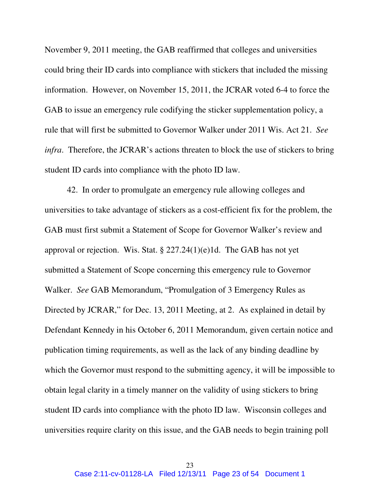November 9, 2011 meeting, the GAB reaffirmed that colleges and universities could bring their ID cards into compliance with stickers that included the missing information. However, on November 15, 2011, the JCRAR voted 6-4 to force the GAB to issue an emergency rule codifying the sticker supplementation policy, a rule that will first be submitted to Governor Walker under 2011 Wis. Act 21. *See infra*. Therefore, the JCRAR's actions threaten to block the use of stickers to bring student ID cards into compliance with the photo ID law.

42. In order to promulgate an emergency rule allowing colleges and universities to take advantage of stickers as a cost-efficient fix for the problem, the GAB must first submit a Statement of Scope for Governor Walker's review and approval or rejection. Wis. Stat. § 227.24(1)(e)1d. The GAB has not yet submitted a Statement of Scope concerning this emergency rule to Governor Walker. *See* GAB Memorandum, "Promulgation of 3 Emergency Rules as Directed by JCRAR," for Dec. 13, 2011 Meeting, at 2. As explained in detail by Defendant Kennedy in his October 6, 2011 Memorandum, given certain notice and publication timing requirements, as well as the lack of any binding deadline by which the Governor must respond to the submitting agency, it will be impossible to obtain legal clarity in a timely manner on the validity of using stickers to bring student ID cards into compliance with the photo ID law. Wisconsin colleges and universities require clarity on this issue, and the GAB needs to begin training poll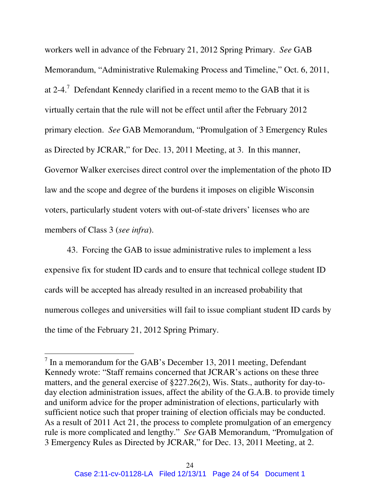workers well in advance of the February 21, 2012 Spring Primary. *See* GAB Memorandum, "Administrative Rulemaking Process and Timeline," Oct. 6, 2011, at 2-4.<sup>7</sup> Defendant Kennedy clarified in a recent memo to the GAB that it is virtually certain that the rule will not be effect until after the February 2012 primary election. *See* GAB Memorandum, "Promulgation of 3 Emergency Rules as Directed by JCRAR," for Dec. 13, 2011 Meeting, at 3. In this manner, Governor Walker exercises direct control over the implementation of the photo ID law and the scope and degree of the burdens it imposes on eligible Wisconsin voters, particularly student voters with out-of-state drivers' licenses who are members of Class 3 (*see infra*).

43. Forcing the GAB to issue administrative rules to implement a less expensive fix for student ID cards and to ensure that technical college student ID cards will be accepted has already resulted in an increased probability that numerous colleges and universities will fail to issue compliant student ID cards by the time of the February 21, 2012 Spring Primary.

 $<sup>7</sup>$  In a memorandum for the GAB's December 13, 2011 meeting, Defendant</sup> Kennedy wrote: "Staff remains concerned that JCRAR's actions on these three matters, and the general exercise of §227.26(2), Wis. Stats., authority for day-today election administration issues, affect the ability of the G.A.B. to provide timely and uniform advice for the proper administration of elections, particularly with sufficient notice such that proper training of election officials may be conducted. As a result of 2011 Act 21, the process to complete promulgation of an emergency rule is more complicated and lengthy." *See* GAB Memorandum, "Promulgation of 3 Emergency Rules as Directed by JCRAR," for Dec. 13, 2011 Meeting, at 2.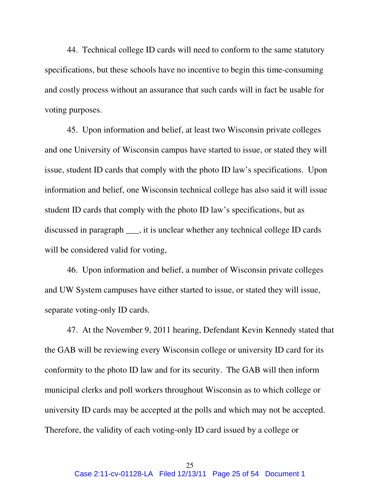44. Technical college ID cards will need to conform to the same statutory specifications, but these schools have no incentive to begin this time-consuming and costly process without an assurance that such cards will in fact be usable for voting purposes.

45. Upon information and belief, at least two Wisconsin private colleges and one University of Wisconsin campus have started to issue, or stated they will issue, student ID cards that comply with the photo ID law's specifications. Upon information and belief, one Wisconsin technical college has also said it will issue student ID cards that comply with the photo ID law's specifications, but as discussed in paragraph \_\_\_, it is unclear whether any technical college ID cards will be considered valid for voting,

46. Upon information and belief, a number of Wisconsin private colleges and UW System campuses have either started to issue, or stated they will issue, separate voting-only ID cards.

47. At the November 9, 2011 hearing, Defendant Kevin Kennedy stated that the GAB will be reviewing every Wisconsin college or university ID card for its conformity to the photo ID law and for its security. The GAB will then inform municipal clerks and poll workers throughout Wisconsin as to which college or university ID cards may be accepted at the polls and which may not be accepted. Therefore, the validity of each voting-only ID card issued by a college or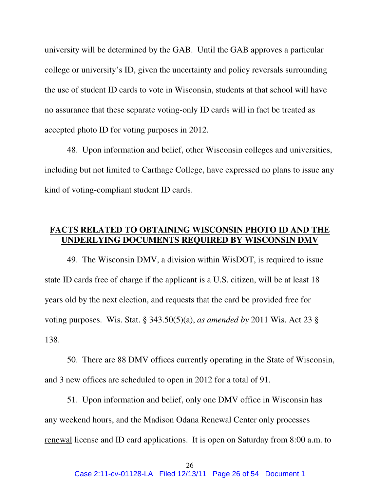university will be determined by the GAB. Until the GAB approves a particular college or university's ID, given the uncertainty and policy reversals surrounding the use of student ID cards to vote in Wisconsin, students at that school will have no assurance that these separate voting-only ID cards will in fact be treated as accepted photo ID for voting purposes in 2012.

48. Upon information and belief, other Wisconsin colleges and universities, including but not limited to Carthage College, have expressed no plans to issue any kind of voting-compliant student ID cards.

## **FACTS RELATED TO OBTAINING WISCONSIN PHOTO ID AND THE UNDERLYING DOCUMENTS REQUIRED BY WISCONSIN DMV**

 49. The Wisconsin DMV, a division within WisDOT, is required to issue state ID cards free of charge if the applicant is a U.S. citizen, will be at least 18 years old by the next election, and requests that the card be provided free for voting purposes. Wis. Stat. § 343.50(5)(a), *as amended by* 2011 Wis. Act 23 § 138.

50. There are 88 DMV offices currently operating in the State of Wisconsin, and 3 new offices are scheduled to open in 2012 for a total of 91.

51. Upon information and belief, only one DMV office in Wisconsin has any weekend hours, and the Madison Odana Renewal Center only processes renewal license and ID card applications. It is open on Saturday from 8:00 a.m. to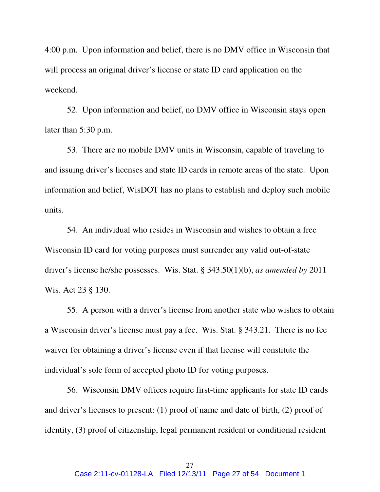4:00 p.m. Upon information and belief, there is no DMV office in Wisconsin that will process an original driver's license or state ID card application on the weekend.

 52. Upon information and belief, no DMV office in Wisconsin stays open later than 5:30 p.m.

 53. There are no mobile DMV units in Wisconsin, capable of traveling to and issuing driver's licenses and state ID cards in remote areas of the state. Upon information and belief, WisDOT has no plans to establish and deploy such mobile units.

54. An individual who resides in Wisconsin and wishes to obtain a free Wisconsin ID card for voting purposes must surrender any valid out-of-state driver's license he/she possesses. Wis. Stat. § 343.50(1)(b), *as amended by* 2011 Wis. Act 23 § 130.

55. A person with a driver's license from another state who wishes to obtain a Wisconsin driver's license must pay a fee. Wis. Stat. § 343.21. There is no fee waiver for obtaining a driver's license even if that license will constitute the individual's sole form of accepted photo ID for voting purposes.

 56. Wisconsin DMV offices require first-time applicants for state ID cards and driver's licenses to present: (1) proof of name and date of birth, (2) proof of identity, (3) proof of citizenship, legal permanent resident or conditional resident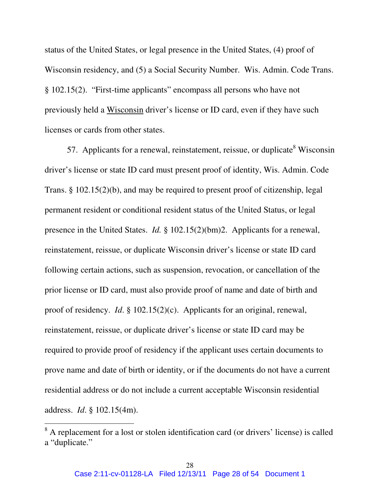status of the United States, or legal presence in the United States, (4) proof of Wisconsin residency, and (5) a Social Security Number. Wis. Admin. Code Trans. § 102.15(2). "First-time applicants" encompass all persons who have not previously held a Wisconsin driver's license or ID card, even if they have such licenses or cards from other states.

57. Applicants for a renewal, reinstatement, reissue, or duplicate<sup>8</sup> Wisconsin driver's license or state ID card must present proof of identity, Wis. Admin. Code Trans. § 102.15(2)(b), and may be required to present proof of citizenship, legal permanent resident or conditional resident status of the United Status, or legal presence in the United States. *Id.* § 102.15(2)(bm)2. Applicants for a renewal, reinstatement, reissue, or duplicate Wisconsin driver's license or state ID card following certain actions, such as suspension, revocation, or cancellation of the prior license or ID card, must also provide proof of name and date of birth and proof of residency. *Id*. § 102.15(2)(c). Applicants for an original, renewal, reinstatement, reissue, or duplicate driver's license or state ID card may be required to provide proof of residency if the applicant uses certain documents to prove name and date of birth or identity, or if the documents do not have a current residential address or do not include a current acceptable Wisconsin residential address. *Id*. § 102.15(4m).

<sup>&</sup>lt;sup>8</sup> A replacement for a lost or stolen identification card (or drivers' license) is called a "duplicate."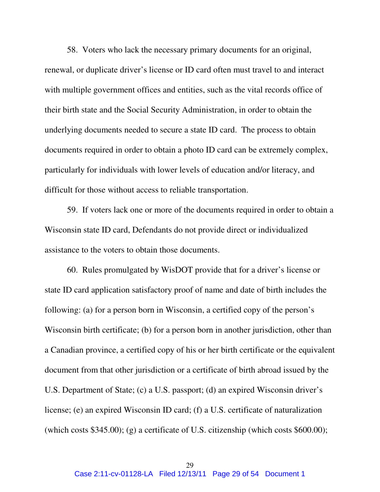58. Voters who lack the necessary primary documents for an original, renewal, or duplicate driver's license or ID card often must travel to and interact with multiple government offices and entities, such as the vital records office of their birth state and the Social Security Administration, in order to obtain the underlying documents needed to secure a state ID card. The process to obtain documents required in order to obtain a photo ID card can be extremely complex, particularly for individuals with lower levels of education and/or literacy, and difficult for those without access to reliable transportation.

59. If voters lack one or more of the documents required in order to obtain a Wisconsin state ID card, Defendants do not provide direct or individualized assistance to the voters to obtain those documents.

60. Rules promulgated by WisDOT provide that for a driver's license or state ID card application satisfactory proof of name and date of birth includes the following: (a) for a person born in Wisconsin, a certified copy of the person's Wisconsin birth certificate; (b) for a person born in another jurisdiction, other than a Canadian province, a certified copy of his or her birth certificate or the equivalent document from that other jurisdiction or a certificate of birth abroad issued by the U.S. Department of State; (c) a U.S. passport; (d) an expired Wisconsin driver's license; (e) an expired Wisconsin ID card; (f) a U.S. certificate of naturalization (which costs \$345.00); (g) a certificate of U.S. citizenship (which costs \$600.00);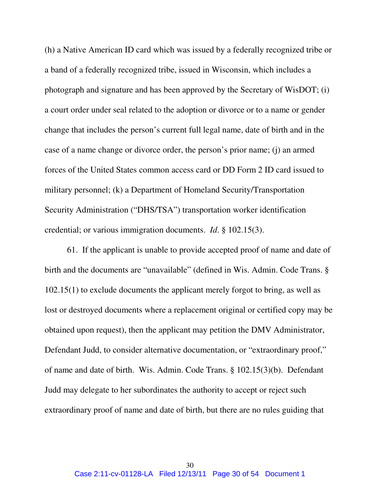(h) a Native American ID card which was issued by a federally recognized tribe or a band of a federally recognized tribe, issued in Wisconsin, which includes a photograph and signature and has been approved by the Secretary of WisDOT; (i) a court order under seal related to the adoption or divorce or to a name or gender change that includes the person's current full legal name, date of birth and in the case of a name change or divorce order, the person's prior name; (j) an armed forces of the United States common access card or DD Form 2 ID card issued to military personnel; (k) a Department of Homeland Security/Transportation Security Administration ("DHS/TSA") transportation worker identification credential; or various immigration documents. *Id*. § 102.15(3).

61. If the applicant is unable to provide accepted proof of name and date of birth and the documents are "unavailable" (defined in Wis. Admin. Code Trans. § 102.15(1) to exclude documents the applicant merely forgot to bring, as well as lost or destroyed documents where a replacement original or certified copy may be obtained upon request), then the applicant may petition the DMV Administrator, Defendant Judd, to consider alternative documentation, or "extraordinary proof," of name and date of birth. Wis. Admin. Code Trans. § 102.15(3)(b). Defendant Judd may delegate to her subordinates the authority to accept or reject such extraordinary proof of name and date of birth, but there are no rules guiding that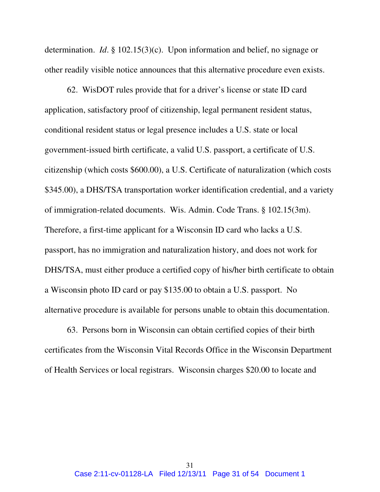determination. *Id*. § 102.15(3)(c). Upon information and belief, no signage or other readily visible notice announces that this alternative procedure even exists.

62. WisDOT rules provide that for a driver's license or state ID card application, satisfactory proof of citizenship, legal permanent resident status, conditional resident status or legal presence includes a U.S. state or local government-issued birth certificate, a valid U.S. passport, a certificate of U.S. citizenship (which costs \$600.00), a U.S. Certificate of naturalization (which costs \$345.00), a DHS/TSA transportation worker identification credential, and a variety of immigration-related documents. Wis. Admin. Code Trans. § 102.15(3m). Therefore, a first-time applicant for a Wisconsin ID card who lacks a U.S. passport, has no immigration and naturalization history, and does not work for DHS/TSA, must either produce a certified copy of his/her birth certificate to obtain a Wisconsin photo ID card or pay \$135.00 to obtain a U.S. passport. No alternative procedure is available for persons unable to obtain this documentation.

63. Persons born in Wisconsin can obtain certified copies of their birth certificates from the Wisconsin Vital Records Office in the Wisconsin Department of Health Services or local registrars. Wisconsin charges \$20.00 to locate and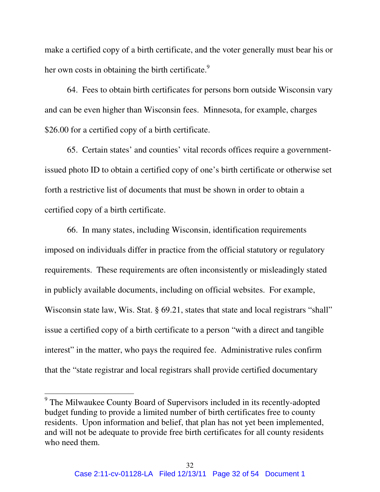make a certified copy of a birth certificate, and the voter generally must bear his or her own costs in obtaining the birth certificate. $9$ 

64. Fees to obtain birth certificates for persons born outside Wisconsin vary and can be even higher than Wisconsin fees. Minnesota, for example, charges \$26.00 for a certified copy of a birth certificate.

65. Certain states' and counties' vital records offices require a governmentissued photo ID to obtain a certified copy of one's birth certificate or otherwise set forth a restrictive list of documents that must be shown in order to obtain a certified copy of a birth certificate.

66. In many states, including Wisconsin, identification requirements imposed on individuals differ in practice from the official statutory or regulatory requirements. These requirements are often inconsistently or misleadingly stated in publicly available documents, including on official websites. For example, Wisconsin state law, Wis. Stat. § 69.21, states that state and local registrars "shall" issue a certified copy of a birth certificate to a person "with a direct and tangible interest" in the matter, who pays the required fee. Administrative rules confirm that the "state registrar and local registrars shall provide certified documentary

<sup>&</sup>lt;sup>9</sup> The Milwaukee County Board of Supervisors included in its recently-adopted budget funding to provide a limited number of birth certificates free to county residents. Upon information and belief, that plan has not yet been implemented, and will not be adequate to provide free birth certificates for all county residents who need them.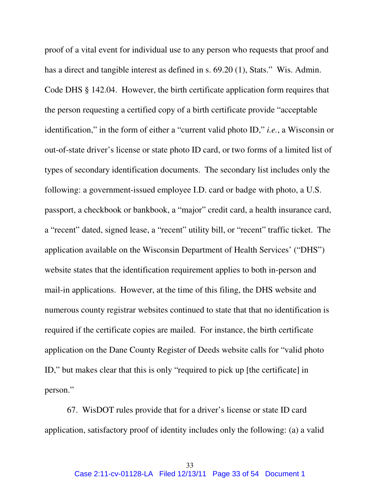proof of a vital event for individual use to any person who requests that proof and has a direct and tangible interest as defined in s. 69.20 (1), Stats." Wis. Admin. Code DHS § 142.04. However, the birth certificate application form requires that the person requesting a certified copy of a birth certificate provide "acceptable identification," in the form of either a "current valid photo ID," *i.e.*, a Wisconsin or out-of-state driver's license or state photo ID card, or two forms of a limited list of types of secondary identification documents. The secondary list includes only the following: a government-issued employee I.D. card or badge with photo, a U.S. passport, a checkbook or bankbook, a "major" credit card, a health insurance card, a "recent" dated, signed lease, a "recent" utility bill, or "recent" traffic ticket. The application available on the Wisconsin Department of Health Services' ("DHS") website states that the identification requirement applies to both in-person and mail-in applications. However, at the time of this filing, the DHS website and numerous county registrar websites continued to state that that no identification is required if the certificate copies are mailed. For instance, the birth certificate application on the Dane County Register of Deeds website calls for "valid photo ID," but makes clear that this is only "required to pick up [the certificate] in person."

 67. WisDOT rules provide that for a driver's license or state ID card application, satisfactory proof of identity includes only the following: (a) a valid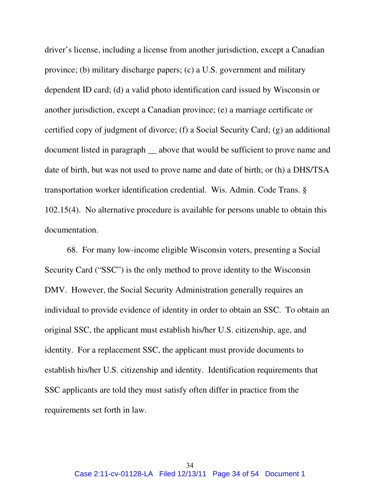driver's license, including a license from another jurisdiction, except a Canadian province; (b) military discharge papers; (c) a U.S. government and military dependent ID card; (d) a valid photo identification card issued by Wisconsin or another jurisdiction, except a Canadian province; (e) a marriage certificate or certified copy of judgment of divorce; (f) a Social Security Card; (g) an additional document listed in paragraph \_\_ above that would be sufficient to prove name and date of birth, but was not used to prove name and date of birth; or (h) a DHS/TSA transportation worker identification credential. Wis. Admin. Code Trans. § 102.15(4). No alternative procedure is available for persons unable to obtain this documentation.

68. For many low-income eligible Wisconsin voters, presenting a Social Security Card ("SSC") is the only method to prove identity to the Wisconsin DMV. However, the Social Security Administration generally requires an individual to provide evidence of identity in order to obtain an SSC. To obtain an original SSC, the applicant must establish his/her U.S. citizenship, age, and identity. For a replacement SSC, the applicant must provide documents to establish his/her U.S. citizenship and identity. Identification requirements that SSC applicants are told they must satisfy often differ in practice from the requirements set forth in law.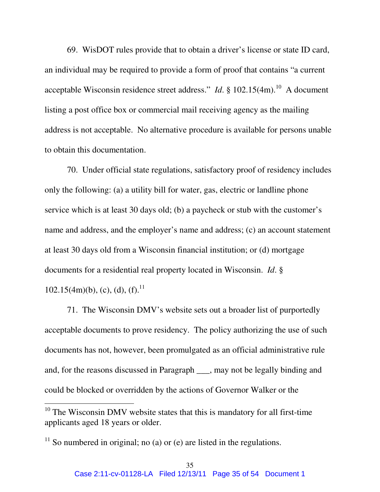69. WisDOT rules provide that to obtain a driver's license or state ID card, an individual may be required to provide a form of proof that contains "a current acceptable Wisconsin residence street address." *Id.* § 102.15(4m).<sup>10</sup> A document listing a post office box or commercial mail receiving agency as the mailing address is not acceptable. No alternative procedure is available for persons unable to obtain this documentation.

70. Under official state regulations, satisfactory proof of residency includes only the following: (a) a utility bill for water, gas, electric or landline phone service which is at least 30 days old; (b) a paycheck or stub with the customer's name and address, and the employer's name and address; (c) an account statement at least 30 days old from a Wisconsin financial institution; or (d) mortgage documents for a residential real property located in Wisconsin. *Id*. § 102.15(4m)(b), (c), (d),  $(f)$ .<sup>11</sup>

71. The Wisconsin DMV's website sets out a broader list of purportedly acceptable documents to prove residency. The policy authorizing the use of such documents has not, however, been promulgated as an official administrative rule and, for the reasons discussed in Paragraph \_\_\_, may not be legally binding and could be blocked or overridden by the actions of Governor Walker or the

 $10$  The Wisconsin DMV website states that this is mandatory for all first-time applicants aged 18 years or older.

 $11$  So numbered in original; no (a) or (e) are listed in the regulations.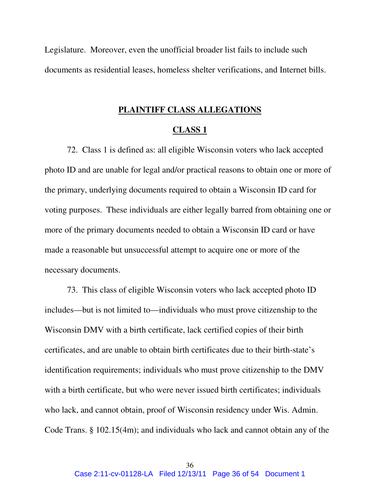Legislature. Moreover, even the unofficial broader list fails to include such documents as residential leases, homeless shelter verifications, and Internet bills.

### **PLAINTIFF CLASS ALLEGATIONS**

#### **CLASS 1**

72. Class 1 is defined as: all eligible Wisconsin voters who lack accepted photo ID and are unable for legal and/or practical reasons to obtain one or more of the primary, underlying documents required to obtain a Wisconsin ID card for voting purposes. These individuals are either legally barred from obtaining one or more of the primary documents needed to obtain a Wisconsin ID card or have made a reasonable but unsuccessful attempt to acquire one or more of the necessary documents.

73. This class of eligible Wisconsin voters who lack accepted photo ID includes—but is not limited to—individuals who must prove citizenship to the Wisconsin DMV with a birth certificate, lack certified copies of their birth certificates, and are unable to obtain birth certificates due to their birth-state's identification requirements; individuals who must prove citizenship to the DMV with a birth certificate, but who were never issued birth certificates; individuals who lack, and cannot obtain, proof of Wisconsin residency under Wis. Admin. Code Trans. § 102.15(4m); and individuals who lack and cannot obtain any of the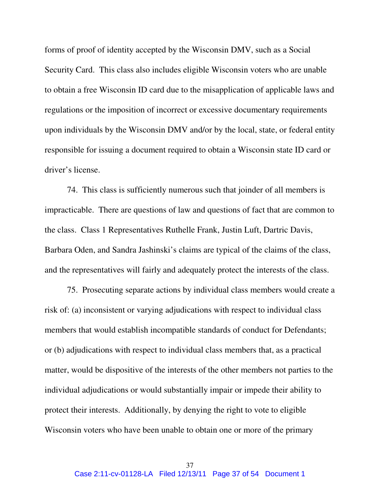forms of proof of identity accepted by the Wisconsin DMV, such as a Social Security Card. This class also includes eligible Wisconsin voters who are unable to obtain a free Wisconsin ID card due to the misapplication of applicable laws and regulations or the imposition of incorrect or excessive documentary requirements upon individuals by the Wisconsin DMV and/or by the local, state, or federal entity responsible for issuing a document required to obtain a Wisconsin state ID card or driver's license.

 74. This class is sufficiently numerous such that joinder of all members is impracticable. There are questions of law and questions of fact that are common to the class. Class 1 Representatives Ruthelle Frank, Justin Luft, Dartric Davis, Barbara Oden, and Sandra Jashinski's claims are typical of the claims of the class, and the representatives will fairly and adequately protect the interests of the class.

75. Prosecuting separate actions by individual class members would create a risk of: (a) inconsistent or varying adjudications with respect to individual class members that would establish incompatible standards of conduct for Defendants; or (b) adjudications with respect to individual class members that, as a practical matter, would be dispositive of the interests of the other members not parties to the individual adjudications or would substantially impair or impede their ability to protect their interests. Additionally, by denying the right to vote to eligible Wisconsin voters who have been unable to obtain one or more of the primary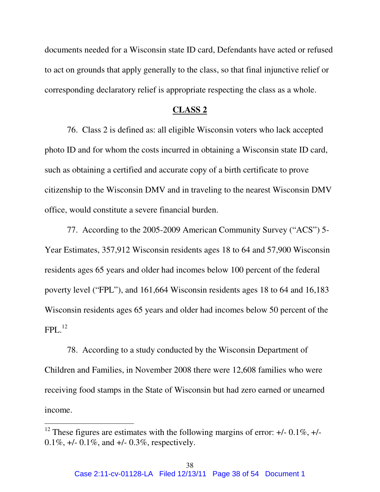documents needed for a Wisconsin state ID card, Defendants have acted or refused to act on grounds that apply generally to the class, so that final injunctive relief or corresponding declaratory relief is appropriate respecting the class as a whole.

#### **CLASS 2**

76. Class 2 is defined as: all eligible Wisconsin voters who lack accepted photo ID and for whom the costs incurred in obtaining a Wisconsin state ID card, such as obtaining a certified and accurate copy of a birth certificate to prove citizenship to the Wisconsin DMV and in traveling to the nearest Wisconsin DMV office, would constitute a severe financial burden.

77. According to the 2005-2009 American Community Survey ("ACS") 5- Year Estimates, 357,912 Wisconsin residents ages 18 to 64 and 57,900 Wisconsin residents ages 65 years and older had incomes below 100 percent of the federal poverty level ("FPL"), and 161,664 Wisconsin residents ages 18 to 64 and 16,183 Wisconsin residents ages 65 years and older had incomes below 50 percent of the  $FPI<sub>12</sub>$ <sup>12</sup>

78. According to a study conducted by the Wisconsin Department of Children and Families, in November 2008 there were 12,608 families who were receiving food stamps in the State of Wisconsin but had zero earned or unearned income.

<sup>&</sup>lt;sup>12</sup> These figures are estimates with the following margins of error:  $+/-0.1\%$ ,  $+/-$ 0.1%,  $+/- 0.1\%$ , and  $+/- 0.3\%$ , respectively.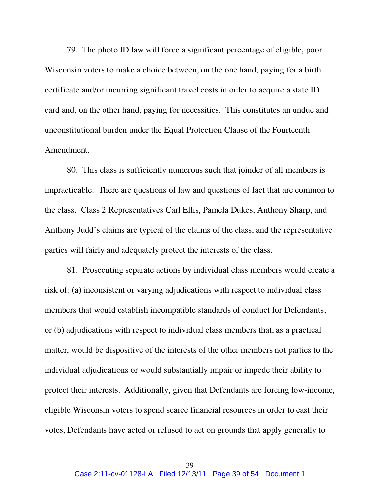79. The photo ID law will force a significant percentage of eligible, poor Wisconsin voters to make a choice between, on the one hand, paying for a birth certificate and/or incurring significant travel costs in order to acquire a state ID card and, on the other hand, paying for necessities. This constitutes an undue and unconstitutional burden under the Equal Protection Clause of the Fourteenth Amendment.

80. This class is sufficiently numerous such that joinder of all members is impracticable. There are questions of law and questions of fact that are common to the class. Class 2 Representatives Carl Ellis, Pamela Dukes, Anthony Sharp, and Anthony Judd's claims are typical of the claims of the class, and the representative parties will fairly and adequately protect the interests of the class.

81. Prosecuting separate actions by individual class members would create a risk of: (a) inconsistent or varying adjudications with respect to individual class members that would establish incompatible standards of conduct for Defendants; or (b) adjudications with respect to individual class members that, as a practical matter, would be dispositive of the interests of the other members not parties to the individual adjudications or would substantially impair or impede their ability to protect their interests. Additionally, given that Defendants are forcing low-income, eligible Wisconsin voters to spend scarce financial resources in order to cast their votes, Defendants have acted or refused to act on grounds that apply generally to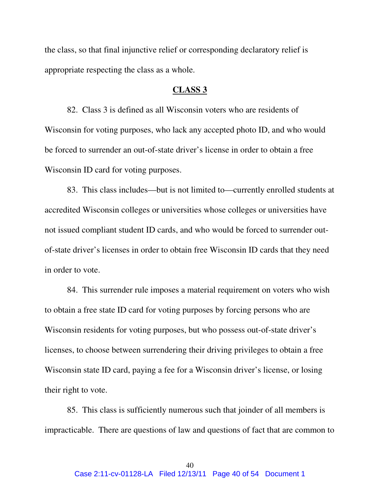the class, so that final injunctive relief or corresponding declaratory relief is appropriate respecting the class as a whole.

#### **CLASS 3**

82. Class 3 is defined as all Wisconsin voters who are residents of Wisconsin for voting purposes, who lack any accepted photo ID, and who would be forced to surrender an out-of-state driver's license in order to obtain a free Wisconsin ID card for voting purposes.

83. This class includes—but is not limited to—currently enrolled students at accredited Wisconsin colleges or universities whose colleges or universities have not issued compliant student ID cards, and who would be forced to surrender outof-state driver's licenses in order to obtain free Wisconsin ID cards that they need in order to vote.

84. This surrender rule imposes a material requirement on voters who wish to obtain a free state ID card for voting purposes by forcing persons who are Wisconsin residents for voting purposes, but who possess out-of-state driver's licenses, to choose between surrendering their driving privileges to obtain a free Wisconsin state ID card, paying a fee for a Wisconsin driver's license, or losing their right to vote.

85. This class is sufficiently numerous such that joinder of all members is impracticable. There are questions of law and questions of fact that are common to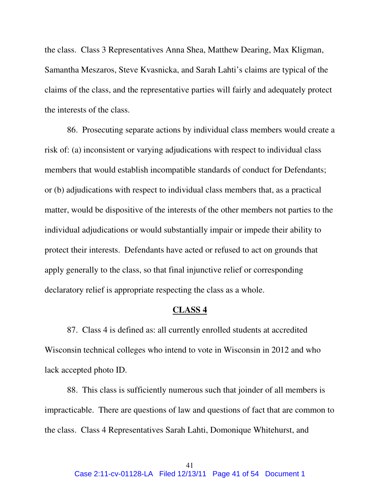the class. Class 3 Representatives Anna Shea, Matthew Dearing, Max Kligman, Samantha Meszaros, Steve Kvasnicka, and Sarah Lahti's claims are typical of the claims of the class, and the representative parties will fairly and adequately protect the interests of the class.

86. Prosecuting separate actions by individual class members would create a risk of: (a) inconsistent or varying adjudications with respect to individual class members that would establish incompatible standards of conduct for Defendants; or (b) adjudications with respect to individual class members that, as a practical matter, would be dispositive of the interests of the other members not parties to the individual adjudications or would substantially impair or impede their ability to protect their interests. Defendants have acted or refused to act on grounds that apply generally to the class, so that final injunctive relief or corresponding declaratory relief is appropriate respecting the class as a whole.

#### **CLASS 4**

87. Class 4 is defined as: all currently enrolled students at accredited Wisconsin technical colleges who intend to vote in Wisconsin in 2012 and who lack accepted photo ID.

88. This class is sufficiently numerous such that joinder of all members is impracticable. There are questions of law and questions of fact that are common to the class. Class 4 Representatives Sarah Lahti, Domonique Whitehurst, and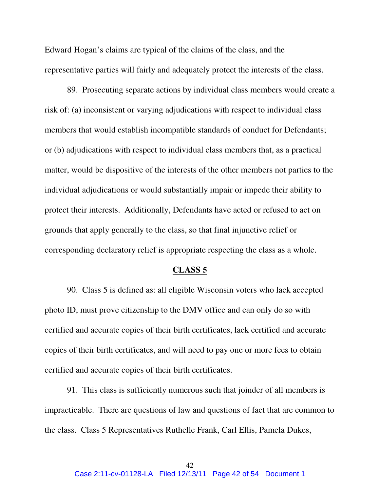Edward Hogan's claims are typical of the claims of the class, and the representative parties will fairly and adequately protect the interests of the class.

89. Prosecuting separate actions by individual class members would create a risk of: (a) inconsistent or varying adjudications with respect to individual class members that would establish incompatible standards of conduct for Defendants; or (b) adjudications with respect to individual class members that, as a practical matter, would be dispositive of the interests of the other members not parties to the individual adjudications or would substantially impair or impede their ability to protect their interests. Additionally, Defendants have acted or refused to act on grounds that apply generally to the class, so that final injunctive relief or corresponding declaratory relief is appropriate respecting the class as a whole.

#### **CLASS 5**

90. Class 5 is defined as: all eligible Wisconsin voters who lack accepted photo ID, must prove citizenship to the DMV office and can only do so with certified and accurate copies of their birth certificates, lack certified and accurate copies of their birth certificates, and will need to pay one or more fees to obtain certified and accurate copies of their birth certificates.

91. This class is sufficiently numerous such that joinder of all members is impracticable. There are questions of law and questions of fact that are common to the class. Class 5 Representatives Ruthelle Frank, Carl Ellis, Pamela Dukes,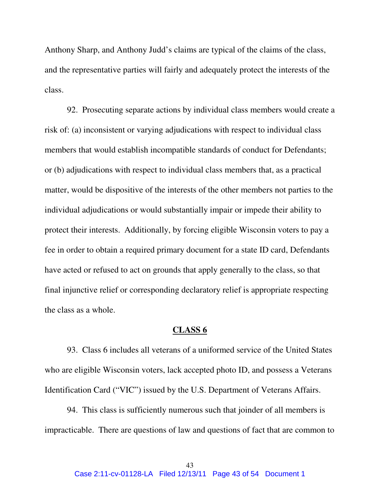Anthony Sharp, and Anthony Judd's claims are typical of the claims of the class, and the representative parties will fairly and adequately protect the interests of the class.

92. Prosecuting separate actions by individual class members would create a risk of: (a) inconsistent or varying adjudications with respect to individual class members that would establish incompatible standards of conduct for Defendants; or (b) adjudications with respect to individual class members that, as a practical matter, would be dispositive of the interests of the other members not parties to the individual adjudications or would substantially impair or impede their ability to protect their interests. Additionally, by forcing eligible Wisconsin voters to pay a fee in order to obtain a required primary document for a state ID card, Defendants have acted or refused to act on grounds that apply generally to the class, so that final injunctive relief or corresponding declaratory relief is appropriate respecting the class as a whole.

#### **CLASS 6**

 93. Class 6 includes all veterans of a uniformed service of the United States who are eligible Wisconsin voters, lack accepted photo ID, and possess a Veterans Identification Card ("VIC") issued by the U.S. Department of Veterans Affairs.

94. This class is sufficiently numerous such that joinder of all members is impracticable. There are questions of law and questions of fact that are common to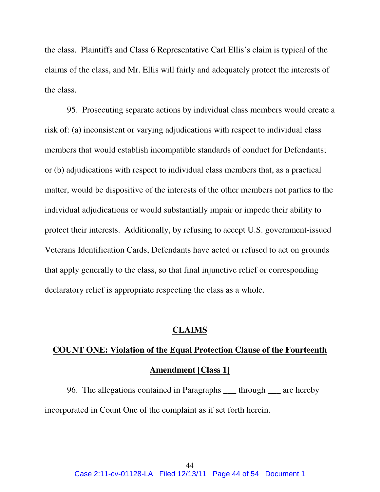the class. Plaintiffs and Class 6 Representative Carl Ellis's claim is typical of the claims of the class, and Mr. Ellis will fairly and adequately protect the interests of the class.

95. Prosecuting separate actions by individual class members would create a risk of: (a) inconsistent or varying adjudications with respect to individual class members that would establish incompatible standards of conduct for Defendants; or (b) adjudications with respect to individual class members that, as a practical matter, would be dispositive of the interests of the other members not parties to the individual adjudications or would substantially impair or impede their ability to protect their interests. Additionally, by refusing to accept U.S. government-issued Veterans Identification Cards, Defendants have acted or refused to act on grounds that apply generally to the class, so that final injunctive relief or corresponding declaratory relief is appropriate respecting the class as a whole.

### **CLAIMS**

# **COUNT ONE: Violation of the Equal Protection Clause of the Fourteenth Amendment [Class 1]**

 96. The allegations contained in Paragraphs \_\_\_ through \_\_\_ are hereby incorporated in Count One of the complaint as if set forth herein.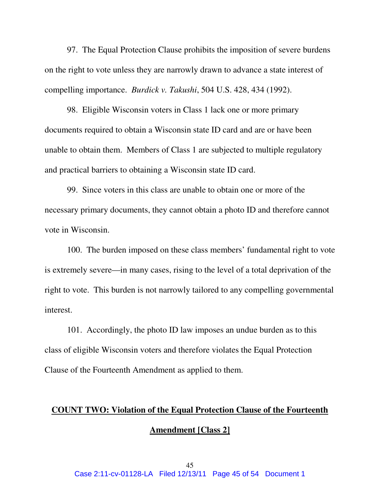97. The Equal Protection Clause prohibits the imposition of severe burdens on the right to vote unless they are narrowly drawn to advance a state interest of compelling importance. *Burdick v. Takushi*, 504 U.S. 428, 434 (1992).

 98. Eligible Wisconsin voters in Class 1 lack one or more primary documents required to obtain a Wisconsin state ID card and are or have been unable to obtain them. Members of Class 1 are subjected to multiple regulatory and practical barriers to obtaining a Wisconsin state ID card.

99. Since voters in this class are unable to obtain one or more of the necessary primary documents, they cannot obtain a photo ID and therefore cannot vote in Wisconsin.

100. The burden imposed on these class members' fundamental right to vote is extremely severe—in many cases, rising to the level of a total deprivation of the right to vote. This burden is not narrowly tailored to any compelling governmental interest.

101. Accordingly, the photo ID law imposes an undue burden as to this class of eligible Wisconsin voters and therefore violates the Equal Protection Clause of the Fourteenth Amendment as applied to them.

# **COUNT TWO: Violation of the Equal Protection Clause of the Fourteenth Amendment [Class 2]**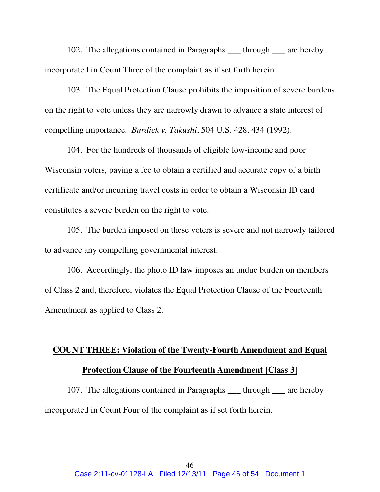102. The allegations contained in Paragraphs \_\_\_ through \_\_\_ are hereby incorporated in Count Three of the complaint as if set forth herein.

103. The Equal Protection Clause prohibits the imposition of severe burdens on the right to vote unless they are narrowly drawn to advance a state interest of compelling importance. *Burdick v. Takushi*, 504 U.S. 428, 434 (1992).

 104. For the hundreds of thousands of eligible low-income and poor Wisconsin voters, paying a fee to obtain a certified and accurate copy of a birth certificate and/or incurring travel costs in order to obtain a Wisconsin ID card constitutes a severe burden on the right to vote.

105. The burden imposed on these voters is severe and not narrowly tailored to advance any compelling governmental interest.

106. Accordingly, the photo ID law imposes an undue burden on members of Class 2 and, therefore, violates the Equal Protection Clause of the Fourteenth Amendment as applied to Class 2.

## **COUNT THREE: Violation of the Twenty-Fourth Amendment and Equal Protection Clause of the Fourteenth Amendment [Class 3]**

107. The allegations contained in Paragraphs \_\_\_ through \_\_\_ are hereby incorporated in Count Four of the complaint as if set forth herein.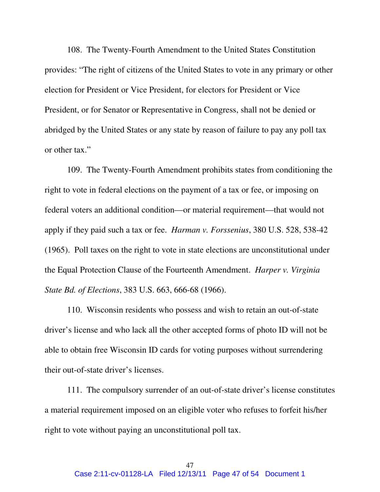108. The Twenty-Fourth Amendment to the United States Constitution provides: "The right of citizens of the United States to vote in any primary or other election for President or Vice President, for electors for President or Vice President, or for Senator or Representative in Congress, shall not be denied or abridged by the United States or any state by reason of failure to pay any poll tax or other tax."

109. The Twenty-Fourth Amendment prohibits states from conditioning the right to vote in federal elections on the payment of a tax or fee, or imposing on federal voters an additional condition—or material requirement—that would not apply if they paid such a tax or fee. *Harman v. Forssenius*, 380 U.S. 528, 538-42 (1965). Poll taxes on the right to vote in state elections are unconstitutional under the Equal Protection Clause of the Fourteenth Amendment. *Harper v. Virginia State Bd. of Elections*, 383 U.S. 663, 666-68 (1966).

110. Wisconsin residents who possess and wish to retain an out-of-state driver's license and who lack all the other accepted forms of photo ID will not be able to obtain free Wisconsin ID cards for voting purposes without surrendering their out-of-state driver's licenses.

111. The compulsory surrender of an out-of-state driver's license constitutes a material requirement imposed on an eligible voter who refuses to forfeit his/her right to vote without paying an unconstitutional poll tax.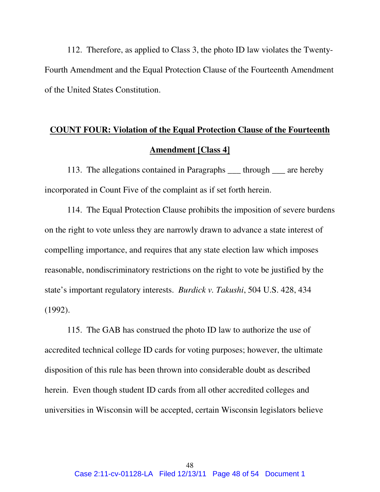112. Therefore, as applied to Class 3, the photo ID law violates the Twenty-Fourth Amendment and the Equal Protection Clause of the Fourteenth Amendment of the United States Constitution.

## **COUNT FOUR: Violation of the Equal Protection Clause of the Fourteenth Amendment [Class 4]**

113. The allegations contained in Paragraphs \_\_\_ through \_\_\_ are hereby incorporated in Count Five of the complaint as if set forth herein.

114. The Equal Protection Clause prohibits the imposition of severe burdens on the right to vote unless they are narrowly drawn to advance a state interest of compelling importance, and requires that any state election law which imposes reasonable, nondiscriminatory restrictions on the right to vote be justified by the state's important regulatory interests. *Burdick v. Takushi*, 504 U.S. 428, 434 (1992).

115. The GAB has construed the photo ID law to authorize the use of accredited technical college ID cards for voting purposes; however, the ultimate disposition of this rule has been thrown into considerable doubt as described herein. Even though student ID cards from all other accredited colleges and universities in Wisconsin will be accepted, certain Wisconsin legislators believe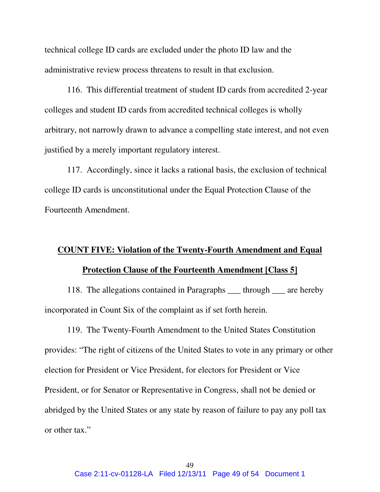technical college ID cards are excluded under the photo ID law and the administrative review process threatens to result in that exclusion.

 116. This differential treatment of student ID cards from accredited 2-year colleges and student ID cards from accredited technical colleges is wholly arbitrary, not narrowly drawn to advance a compelling state interest, and not even justified by a merely important regulatory interest.

 117. Accordingly, since it lacks a rational basis, the exclusion of technical college ID cards is unconstitutional under the Equal Protection Clause of the Fourteenth Amendment.

## **COUNT FIVE: Violation of the Twenty-Fourth Amendment and Equal Protection Clause of the Fourteenth Amendment [Class 5]**

 118. The allegations contained in Paragraphs \_\_\_ through \_\_\_ are hereby incorporated in Count Six of the complaint as if set forth herein.

119. The Twenty-Fourth Amendment to the United States Constitution provides: "The right of citizens of the United States to vote in any primary or other election for President or Vice President, for electors for President or Vice President, or for Senator or Representative in Congress, shall not be denied or abridged by the United States or any state by reason of failure to pay any poll tax or other tax."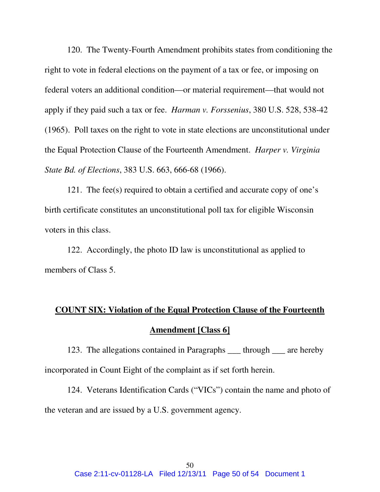120. The Twenty-Fourth Amendment prohibits states from conditioning the right to vote in federal elections on the payment of a tax or fee, or imposing on federal voters an additional condition—or material requirement—that would not apply if they paid such a tax or fee. *Harman v. Forssenius*, 380 U.S. 528, 538-42 (1965). Poll taxes on the right to vote in state elections are unconstitutional under the Equal Protection Clause of the Fourteenth Amendment. *Harper v. Virginia State Bd. of Elections*, 383 U.S. 663, 666-68 (1966).

121. The fee(s) required to obtain a certified and accurate copy of one's birth certificate constitutes an unconstitutional poll tax for eligible Wisconsin voters in this class.

122. Accordingly, the photo ID law is unconstitutional as applied to members of Class 5.

# **COUNT SIX: Violation of** t**he Equal Protection Clause of the Fourteenth Amendment [Class 6]**

123. The allegations contained in Paragraphs \_\_\_ through \_\_\_ are hereby incorporated in Count Eight of the complaint as if set forth herein.

 124. Veterans Identification Cards ("VICs") contain the name and photo of the veteran and are issued by a U.S. government agency.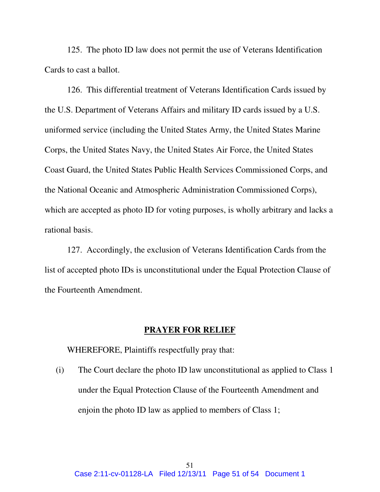125. The photo ID law does not permit the use of Veterans Identification Cards to cast a ballot.

 126. This differential treatment of Veterans Identification Cards issued by the U.S. Department of Veterans Affairs and military ID cards issued by a U.S. uniformed service (including the United States Army, the United States Marine Corps, the United States Navy, the United States Air Force, the United States Coast Guard, the United States Public Health Services Commissioned Corps, and the National Oceanic and Atmospheric Administration Commissioned Corps), which are accepted as photo ID for voting purposes, is wholly arbitrary and lacks a rational basis.

 127. Accordingly, the exclusion of Veterans Identification Cards from the list of accepted photo IDs is unconstitutional under the Equal Protection Clause of the Fourteenth Amendment.

### **PRAYER FOR RELIEF**

WHEREFORE, Plaintiffs respectfully pray that:

(i) The Court declare the photo ID law unconstitutional as applied to Class 1 under the Equal Protection Clause of the Fourteenth Amendment and enjoin the photo ID law as applied to members of Class 1;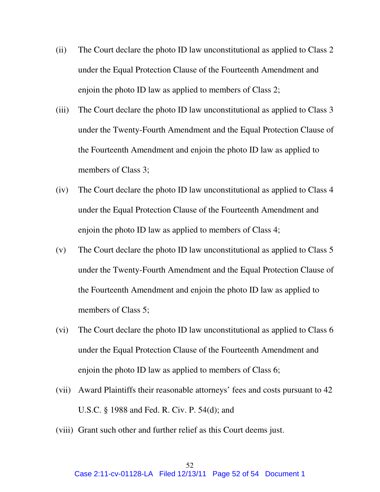- (ii) The Court declare the photo ID law unconstitutional as applied to Class 2 under the Equal Protection Clause of the Fourteenth Amendment and enjoin the photo ID law as applied to members of Class 2;
- (iii) The Court declare the photo ID law unconstitutional as applied to Class 3 under the Twenty-Fourth Amendment and the Equal Protection Clause of the Fourteenth Amendment and enjoin the photo ID law as applied to members of Class 3;
- (iv) The Court declare the photo ID law unconstitutional as applied to Class 4 under the Equal Protection Clause of the Fourteenth Amendment and enjoin the photo ID law as applied to members of Class 4;
- (v) The Court declare the photo ID law unconstitutional as applied to Class 5 under the Twenty-Fourth Amendment and the Equal Protection Clause of the Fourteenth Amendment and enjoin the photo ID law as applied to members of Class 5;
- (vi) The Court declare the photo ID law unconstitutional as applied to Class 6 under the Equal Protection Clause of the Fourteenth Amendment and enjoin the photo ID law as applied to members of Class 6;
- (vii) Award Plaintiffs their reasonable attorneys' fees and costs pursuant to 42 U.S.C. § 1988 and Fed. R. Civ. P. 54(d); and
- (viii) Grant such other and further relief as this Court deems just.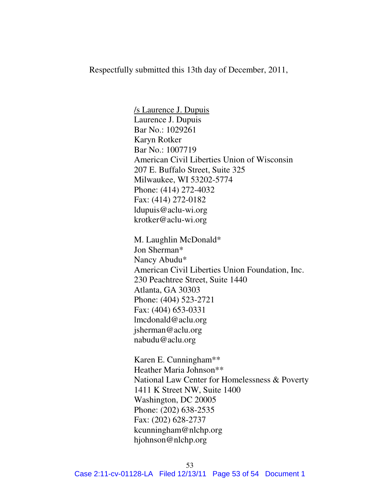Respectfully submitted this 13th day of December, 2011,

/s Laurence J. Dupuis Laurence J. Dupuis Bar No.: 1029261 Karyn Rotker Bar No.: 1007719 American Civil Liberties Union of Wisconsin 207 E. Buffalo Street, Suite 325 Milwaukee, WI 53202-5774 Phone: (414) 272-4032 Fax: (414) 272-0182 ldupuis@aclu-wi.org krotker@aclu-wi.org

M. Laughlin McDonald\* Jon Sherman\* Nancy Abudu\* American Civil Liberties Union Foundation, Inc. 230 Peachtree Street, Suite 1440 Atlanta, GA 30303 Phone: (404) 523-2721 Fax: (404) 653-0331 lmcdonald@aclu.org jsherman@aclu.org nabudu@aclu.org

 Karen E. Cunningham\*\* Heather Maria Johnson\*\* National Law Center for Homelessness & Poverty 1411 K Street NW, Suite 1400 Washington, DC 20005 Phone: (202) 638-2535 Fax: (202) 628-2737 kcunningham@nlchp.org hjohnson@nlchp.org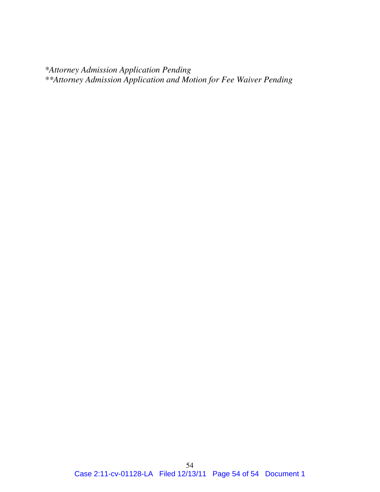*\*Attorney Admission Application Pending \*\*Attorney Admission Application and Motion for Fee Waiver Pending*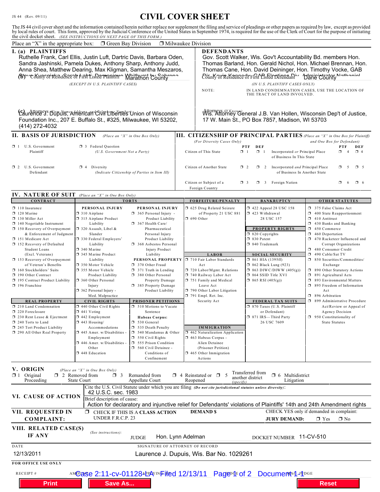## JS 44 (Rev. 09/11) **CIVIL COVER SHEET**

The JS 44 civil cover sheet and the information contained herein neither replace nor supplement the filing and service of pleadings or other papers as required by law, except as provided<br>by local rules of court. This form,

| <b>X</b> Milwaukee Division<br>Place an "X" in the appropriate box:<br><b>D</b> Green Bay Division                                                                                                                                                                                                                                  |                                                                                                                                                                                                                                                                                                                                               |                                                                                                                                                                                         |                   |                                                                                                                                                                                                                                                                                                                                                                                                                         |                                                                                                                                                                           |                                                                                                                                                                                                                                                              |  |
|-------------------------------------------------------------------------------------------------------------------------------------------------------------------------------------------------------------------------------------------------------------------------------------------------------------------------------------|-----------------------------------------------------------------------------------------------------------------------------------------------------------------------------------------------------------------------------------------------------------------------------------------------------------------------------------------------|-----------------------------------------------------------------------------------------------------------------------------------------------------------------------------------------|-------------------|-------------------------------------------------------------------------------------------------------------------------------------------------------------------------------------------------------------------------------------------------------------------------------------------------------------------------------------------------------------------------------------------------------------------------|---------------------------------------------------------------------------------------------------------------------------------------------------------------------------|--------------------------------------------------------------------------------------------------------------------------------------------------------------------------------------------------------------------------------------------------------------|--|
| I. (a) PLAINTIFFS<br>Ruthelle Frank, Carl Ellis, Justin Luft, Dartric Davis, Barbara Oden,<br>Sandra Jashinski, Pamela Dukes, Anthony Sharp, Anthony Judd,<br>Anna Shea, Matthew Dearing, Max Kligman, Samantha Meszaros,<br>(bt) "Comity of Residence of First Listed Planintr Marathon County<br>(EXCEPT IN U.S. PLAINTIFF CASES) |                                                                                                                                                                                                                                                                                                                                               |                                                                                                                                                                                         |                   | <b>DEFENDANTS</b><br>Gov. Scott Walker, Wis. Gov't Accountability Bd. members Hon.<br>Thomas Barland, Hon. Gerald Nichol, Hon. Michael Brennan, Hon.<br>Thomas Cane, Hon. David Deininger, Hon. Timothy Vocke, GAB<br>County of Residence of First Listed Defendant Danie County Nothaniol<br>(IN U.S. PLAINTIFF CASES ONLY)<br>NOTE:<br>IN LAND CONDEMNATION CASES, USE THE LOCATION OF<br>THE TRACT OF LAND INVOLVED. |                                                                                                                                                                           |                                                                                                                                                                                                                                                              |  |
| Caurence Y. Bürp Name Addeffe and Chin Liberties Union of Wisconsin<br>Foundation Inc., 207 E. Buffalo St., #325, Milwaukee, WI 53202,<br>(414) 272-4032                                                                                                                                                                            |                                                                                                                                                                                                                                                                                                                                               |                                                                                                                                                                                         |                   | Attorneys (If Known)<br>WIS. Attorney General J.B. Van Hollen, Wisconsin Dep't of Justice,<br>17 W. Main St., PO Box 7857, Madison, WI 53703                                                                                                                                                                                                                                                                            |                                                                                                                                                                           |                                                                                                                                                                                                                                                              |  |
| <b>II. BASIS OF JURISDICTION</b><br><b>III. CITIZENSHIP OF PRINCIPAL PARTIES</b> (Place an "X" in One Box for Plaintiff)<br>(Place an "X" in One Box Only)                                                                                                                                                                          |                                                                                                                                                                                                                                                                                                                                               |                                                                                                                                                                                         |                   |                                                                                                                                                                                                                                                                                                                                                                                                                         |                                                                                                                                                                           |                                                                                                                                                                                                                                                              |  |
| $\Box$ 1 U.S. Government<br>Plaintiff                                                                                                                                                                                                                                                                                               | 3 Federal Question<br>(U.S. Government Not a Party)                                                                                                                                                                                                                                                                                           |                                                                                                                                                                                         |                   | (For Diversity Cases Only)<br>and One Box for Defendant)<br>DEF<br>DEF<br>PTF<br>PTF<br>$\Box$ 1<br>Citizen of This State<br>$\Box$ 1<br>Incorporated or Principal Place<br>σ.<br>$\overline{4}$<br>$\Box$ 4<br>of Business In This State                                                                                                                                                                               |                                                                                                                                                                           |                                                                                                                                                                                                                                                              |  |
| 1 2 U.S. Government<br>Defendant                                                                                                                                                                                                                                                                                                    | 1 4 Diversity<br>(Indicate Citizenship of Parties in Item III)                                                                                                                                                                                                                                                                                |                                                                                                                                                                                         |                   | Citizen of Another State<br>Incorporated and Principal Place<br>$\Box$ 2<br>$\Box$ 2<br>σ<br>5<br>$\Box$ 5<br>of Business In Another State                                                                                                                                                                                                                                                                              |                                                                                                                                                                           |                                                                                                                                                                                                                                                              |  |
|                                                                                                                                                                                                                                                                                                                                     |                                                                                                                                                                                                                                                                                                                                               |                                                                                                                                                                                         |                   | Citizen or Subject of a<br>$\Box$ 3 Foreign Nation<br>σ.<br>-6<br>$\Box$ 6<br>$\Box$ 3<br>Foreign Country                                                                                                                                                                                                                                                                                                               |                                                                                                                                                                           |                                                                                                                                                                                                                                                              |  |
| <b>IV. NATURE OF SUIT</b><br><b>CONTRACT</b>                                                                                                                                                                                                                                                                                        | (Place an "X" in One Box Only)                                                                                                                                                                                                                                                                                                                |                                                                                                                                                                                         |                   | FORFEITURE/PENALTY                                                                                                                                                                                                                                                                                                                                                                                                      | <b>BANKRUPTCY</b>                                                                                                                                                         | <b>OTHER STATUTES</b>                                                                                                                                                                                                                                        |  |
| $\Box$ 110 Insurance<br>$\Box$ 120 Marine<br>130 Miller Act<br>$\Box$ 140 Negotiable Instrument<br>□ 150 Recovery of Overpayment<br>& Enforcement of Judgment<br>151 Medicare Act<br>152 Recovery of Defaulted                                                                                                                      | <b>TORTS</b><br>PERSONAL INJURY<br>PERSONAL INJURY<br>$\Box$ 310 Airplane<br>$\Box$ 365 Personal Injury -<br>315 Airplane Product<br>Liability<br>$\Box$ 367 Health Care/<br>$\Box$ 320 Assault, Libel &<br>Pharmaceutical<br>Slander<br>Personal Injury<br>330 Federal Employers'<br>Product Liability<br>368 Asbestos Personal<br>Liability |                                                                                                                                                                                         | Product Liability | 5 625 Drug Related Seizure<br>of Property 21 USC 881<br>$\Box$ 690 Other                                                                                                                                                                                                                                                                                                                                                | 158 122 Appeal 28 USC 158<br>$\Box$ 423 Withdrawal<br>28 USC 157<br><b>PROPERTY RIGHTS</b><br>□ 820 Copyrights<br>30 Patent<br>□ 840 Trademark                            | 375 False Claims Act<br>$\Box$ 400 State Reapportionment<br>$\Box$ 410 Antitrust<br>1 430 Banks and Banking<br>1 450 Commerce<br>$\Box$ 460 Deportation<br>1 470 Racketeer Influenced and<br>Corrupt Organizations                                           |  |
| Student Loans<br>(Excl. Veterans)<br>$\Box$ 153 Recovery of Overpayment<br>of Veteran's Benefits<br>160 Stockholders' Suits<br>190 Other Contract<br>195 Contract Product Liability<br>196 Franchise                                                                                                                                | 340 Marine<br>345 Marine Product<br>Liability<br>350 Motor Vehicle<br>□ 355 Motor Vehicle<br><b>Product Liability</b><br>360 Other Personal<br>Injury<br>□ 362 Personal Injury -<br>Med. Malpractice                                                                                                                                          | <b>Injury Product</b><br>Liability<br>PERSONAL PROPERTY<br>370 Other Fraud<br>371 Truth in Lending<br>380 Other Personal<br>Property Damage<br>385 Property Damage<br>Product Liability |                   | <b>LABOR</b><br>710 Fair Labor Standards<br>Act<br>720 Labor/Mgmt. Relations<br>740 Railway Labor Act<br>751 Family and Medical<br>Leave Act<br>790 Other Labor Litigation<br>791 Empl. Ret. Inc.                                                                                                                                                                                                                       | <b>SOCIAL SECURITY</b><br>$\Box$ 861 HIA (1395ff)<br>$\Box$ 862 Black Lung (923)<br>$\Box$ 863 DIWC/DIWW (405(g))<br>$\Box$ 864 SSID Title XVI<br>$\Box$ 865 RSI (405(g)) | 480 Consumer Credit<br>$\Box$ 490 Cable/Sat TV<br>$\Box$ 850 Securities/Commodities/<br>Exchange<br>5 890 Other Statutory Actions<br>$\Box$ 891 Agricultural Acts<br>5 893 Environmental Matters<br>□ 895 Freedom of Information<br>Act<br>□ 896 Arbitration |  |
| <b>REAL PROPERTY</b>                                                                                                                                                                                                                                                                                                                | <b>CIVIL RIGHTS</b>                                                                                                                                                                                                                                                                                                                           | PRISONER PETITIONS                                                                                                                                                                      |                   | Security Act                                                                                                                                                                                                                                                                                                                                                                                                            | FEDERAL TAX SUITS                                                                                                                                                         | □ 899 Administrative Procedure                                                                                                                                                                                                                               |  |
| 210 Land Condemnation<br>220 Foreclosure<br>□ 230 Rent Lease & Ejectment<br>240 Torts to Land<br>245 Tort Product Liability<br>1 290 All Other Real Property                                                                                                                                                                        | $\Box$ 440 Other Civil Rights<br>$\mathbf{\mathsf{X}}$ 441 Voting<br>□ 442 Employment<br>$\Box$ 443 Housing/<br>Accommodations<br>445 Amer. w/Disabilities -                                                                                                                                                                                  | □ 510 Motions to Vacate<br>Sentence<br>Habeas Corpus:<br>530 General<br>535 Death Penalty<br>540 Mandamus & Other<br>п.                                                                 |                   | <b>IMMIGRATION</b><br>1 462 Naturalization Application                                                                                                                                                                                                                                                                                                                                                                  | □ 870 Taxes (U.S. Plaintiff<br>or Defendant)<br>□ 871 IRS-Third Party<br>26 USC 7609                                                                                      | Act/Review or Appeal of<br>Agency Decision<br>□ 950 Constitutionality of<br>State Statutes                                                                                                                                                                   |  |
|                                                                                                                                                                                                                                                                                                                                     | Employment<br>$\Box$ 446 Amer. w/Disabilities -<br>Other<br>448 Education                                                                                                                                                                                                                                                                     | $\Box$ 550 Civil Rights<br>555 Prison Condition<br>560 Civil Detainee -<br>Conditions of<br>Confinement                                                                                 |                   | 1 463 Habeas Corpus -<br>Alien Detainee<br>(Prisoner Petition)<br><b>1</b> 465 Other Immigration<br>Actions                                                                                                                                                                                                                                                                                                             |                                                                                                                                                                           |                                                                                                                                                                                                                                                              |  |
| V. ORIGIN<br>(Place an "X" in One Box Only)<br>Transferred from<br>Original<br>$\Box$ 4 Reinstated or $\Box$<br>$\Box$ 6 Multidistrict<br><b>DE</b> 1<br>$\Box$ 2 Removed from<br>ο.<br>Remanded from<br>-5<br>-3<br>another district<br><b>State Court</b><br>Appellate Court<br>Reopened<br>Litigation<br>Proceeding<br>(specify) |                                                                                                                                                                                                                                                                                                                                               |                                                                                                                                                                                         |                   |                                                                                                                                                                                                                                                                                                                                                                                                                         |                                                                                                                                                                           |                                                                                                                                                                                                                                                              |  |
| Cite the U.S. Civil Statute under which you are filing (Do not cite jurisdictional statutes unless diversity):<br>42 U.S.C. sec. 1983<br>VI. CAUSE OF ACTION<br>Brief description of cause:                                                                                                                                         |                                                                                                                                                                                                                                                                                                                                               |                                                                                                                                                                                         |                   |                                                                                                                                                                                                                                                                                                                                                                                                                         |                                                                                                                                                                           |                                                                                                                                                                                                                                                              |  |
| Action for declaratory and injunctive relief for Defendants' violations of Plaintiffs' 14th and 24th Amendment rights<br>VII. REQUESTED IN<br><b>DEMAND \$</b><br>CHECK YES only if demanded in complaint:<br>CHECK IF THIS IS A CLASS ACTION<br>UNDER F.R.C.P. 23<br>$M_{\text{No}}$<br>$\Box$ Yes<br><b>JURY DEMAND:</b>          |                                                                                                                                                                                                                                                                                                                                               |                                                                                                                                                                                         |                   |                                                                                                                                                                                                                                                                                                                                                                                                                         |                                                                                                                                                                           |                                                                                                                                                                                                                                                              |  |
| <b>COMPLAINT:</b><br>VIII. RELATED CASE(S)<br>IF ANY                                                                                                                                                                                                                                                                                | (See instructions):                                                                                                                                                                                                                                                                                                                           | <b>JUDGE</b>                                                                                                                                                                            | Hon. Lynn Adelman |                                                                                                                                                                                                                                                                                                                                                                                                                         | DOCKET NUMBER 11-CV-510                                                                                                                                                   |                                                                                                                                                                                                                                                              |  |
| SIGNATURE OF ATTORNEY OF RECORD<br>DATE                                                                                                                                                                                                                                                                                             |                                                                                                                                                                                                                                                                                                                                               |                                                                                                                                                                                         |                   |                                                                                                                                                                                                                                                                                                                                                                                                                         |                                                                                                                                                                           |                                                                                                                                                                                                                                                              |  |
| 12/13/2011<br>Laurence J. Dupuis, Wis. Bar No. 1029261                                                                                                                                                                                                                                                                              |                                                                                                                                                                                                                                                                                                                                               |                                                                                                                                                                                         |                   |                                                                                                                                                                                                                                                                                                                                                                                                                         |                                                                                                                                                                           |                                                                                                                                                                                                                                                              |  |
| FOR OFFICE USE ONLY                                                                                                                                                                                                                                                                                                                 |                                                                                                                                                                                                                                                                                                                                               |                                                                                                                                                                                         |                   |                                                                                                                                                                                                                                                                                                                                                                                                                         |                                                                                                                                                                           |                                                                                                                                                                                                                                                              |  |
| AMOase 2:11-CV-01128ALPAYINFiled 12/13/11 Page 4E of 2 Document 4-10GE<br>RECEIPT#                                                                                                                                                                                                                                                  |                                                                                                                                                                                                                                                                                                                                               |                                                                                                                                                                                         |                   |                                                                                                                                                                                                                                                                                                                                                                                                                         |                                                                                                                                                                           |                                                                                                                                                                                                                                                              |  |
| <b>Print</b>                                                                                                                                                                                                                                                                                                                        | <b>Save As</b>                                                                                                                                                                                                                                                                                                                                |                                                                                                                                                                                         |                   |                                                                                                                                                                                                                                                                                                                                                                                                                         |                                                                                                                                                                           | <b>Reset</b>                                                                                                                                                                                                                                                 |  |